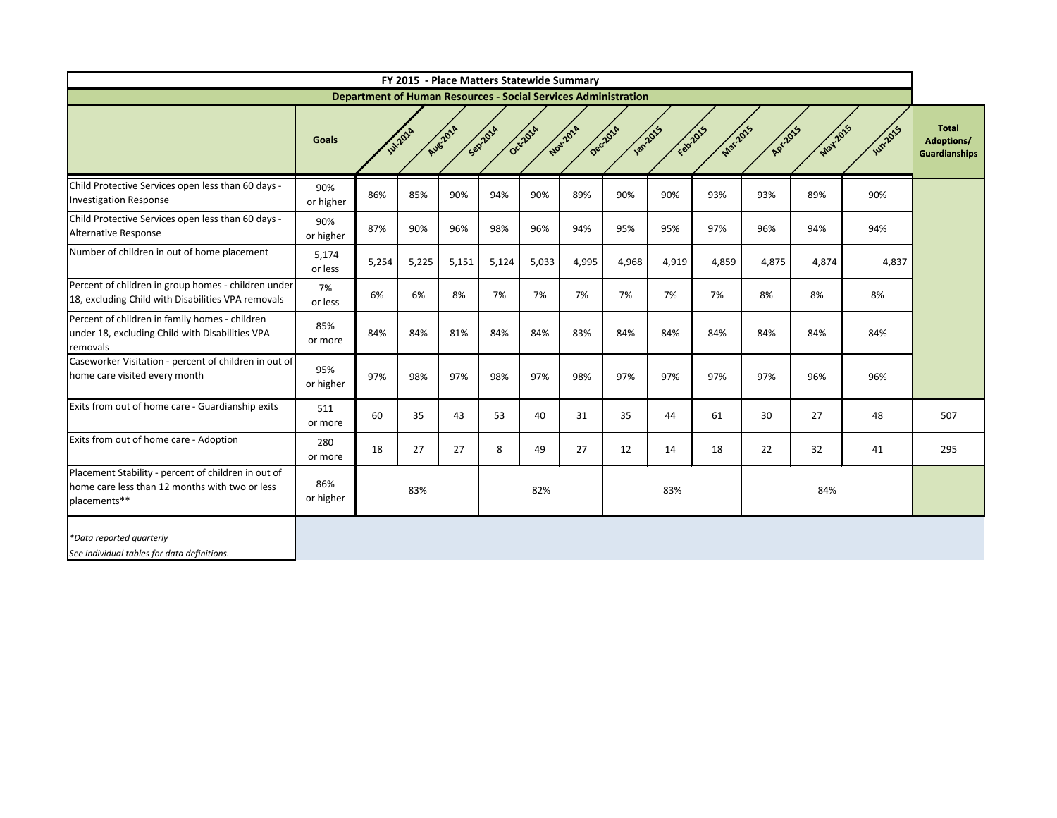|                                                                                                                       |                  |       |                 |          |          | FY 2015 - Place Matters Statewide Summary |                     |                                                                       |          |          |          |          |                |                                                           |
|-----------------------------------------------------------------------------------------------------------------------|------------------|-------|-----------------|----------|----------|-------------------------------------------|---------------------|-----------------------------------------------------------------------|----------|----------|----------|----------|----------------|-----------------------------------------------------------|
|                                                                                                                       |                  |       |                 |          |          |                                           |                     | <b>Department of Human Resources - Social Services Administration</b> |          |          |          |          |                |                                                           |
|                                                                                                                       | <b>Goals</b>     |       | <b>Jul-2014</b> | Aug-2014 | Sepilora | Oct-2014                                  | Nov-2014<br>Deczora | <b>1302-2015</b>                                                      | Feb-2015 | Mar-2015 | Apr 2015 | May 2015 | <b>Wh.2015</b> | <b>Total</b><br><b>Adoptions/</b><br><b>Guardianships</b> |
| Child Protective Services open less than 60 days -<br><b>Investigation Response</b>                                   | 90%<br>or higher | 86%   | 85%             | 90%      | 94%      | 90%                                       | 89%                 | 90%                                                                   | 90%      | 93%      | 93%      | 89%      | 90%            |                                                           |
| Child Protective Services open less than 60 days -<br>Alternative Response                                            | 90%<br>or higher | 87%   | 90%             | 96%      | 98%      | 96%                                       | 94%                 | 95%                                                                   | 95%      | 97%      | 96%      | 94%      | 94%            |                                                           |
| Number of children in out of home placement                                                                           | 5,174<br>or less | 5,254 | 5,225           | 5,151    | 5,124    | 5,033                                     | 4,995               | 4,968                                                                 | 4,919    | 4,859    | 4,875    | 4,874    | 4,837          |                                                           |
| Percent of children in group homes - children under<br>18, excluding Child with Disabilities VPA removals             | 7%<br>or less    | 6%    | 6%              | 8%       | 7%       | 7%                                        | 7%                  | 7%                                                                    | 7%       | 7%       | 8%       | 8%       | 8%             |                                                           |
| Percent of children in family homes - children<br>under 18, excluding Child with Disabilities VPA<br>removals         | 85%<br>or more   | 84%   | 84%             | 81%      | 84%      | 84%                                       | 83%                 | 84%                                                                   | 84%      | 84%      | 84%      | 84%      | 84%            |                                                           |
| Caseworker Visitation - percent of children in out of<br>home care visited every month                                | 95%<br>or higher | 97%   | 98%             | 97%      | 98%      | 97%                                       | 98%                 | 97%                                                                   | 97%      | 97%      | 97%      | 96%      | 96%            |                                                           |
| Exits from out of home care - Guardianship exits                                                                      | 511<br>or more   | 60    | 35              | 43       | 53       | 40                                        | 31                  | 35                                                                    | 44       | 61       | 30       | 27       | 48             | 507                                                       |
| Exits from out of home care - Adoption                                                                                | 280<br>or more   | 18    | 27              | 27       | 8        | 49                                        | 27                  | 12                                                                    | 14       | 18       | 22       | 32       | 41             | 295                                                       |
| Placement Stability - percent of children in out of<br>home care less than 12 months with two or less<br>placements** | 86%<br>or higher |       | 83%             |          |          | 82%                                       |                     |                                                                       | 83%      |          |          | 84%      |                |                                                           |
| *Data reported quarterly<br>See individual tables for data definitions.                                               |                  |       |                 |          |          |                                           |                     |                                                                       |          |          |          |          |                |                                                           |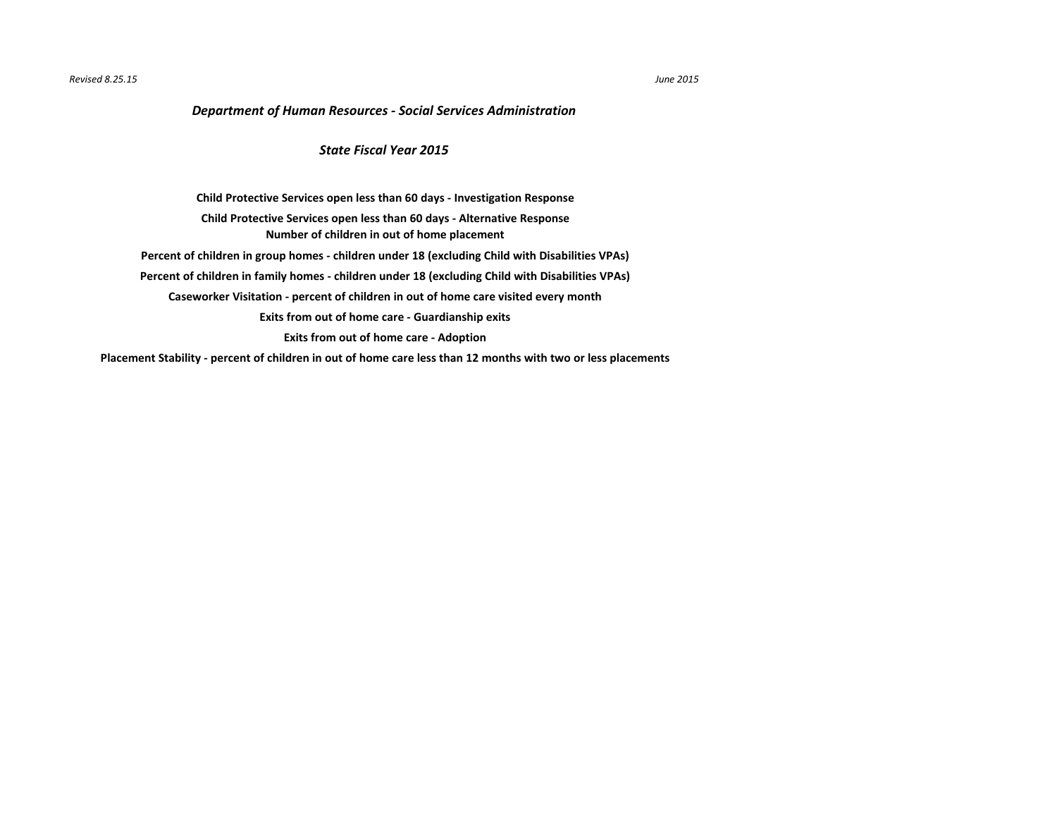## *Revised 8.25.15 June 2015*

**[Placement Stability - percent of children in out of home care less than 12 months with two or less placements](#page-10-0)**

## *Department of Human Resources - Social Services Administration*

**[Caseworker Visitation - percent of children in out of home care visited every month](#page-7-0) [Exits from out of home care - Guardianship exits](#page-8-0) [Exits from out of home care - Adoption](#page-9-0) [Child Protective Services open less than 60 days - Investigation Response](#page-2-0) [Number of children in out of home placement](#page-4-0) [Child Protective Services open less than 60 days - Alternative Response](#page-3-0) [Percent of children in group homes - children under 18 \(excluding Child with Disabilities VPAs\)](#page-5-0) [Percent of children in family homes - children under 18 \(excluding Child with Disabilities VPAs\)](#page-6-0)**

## *State Fiscal Year 2015*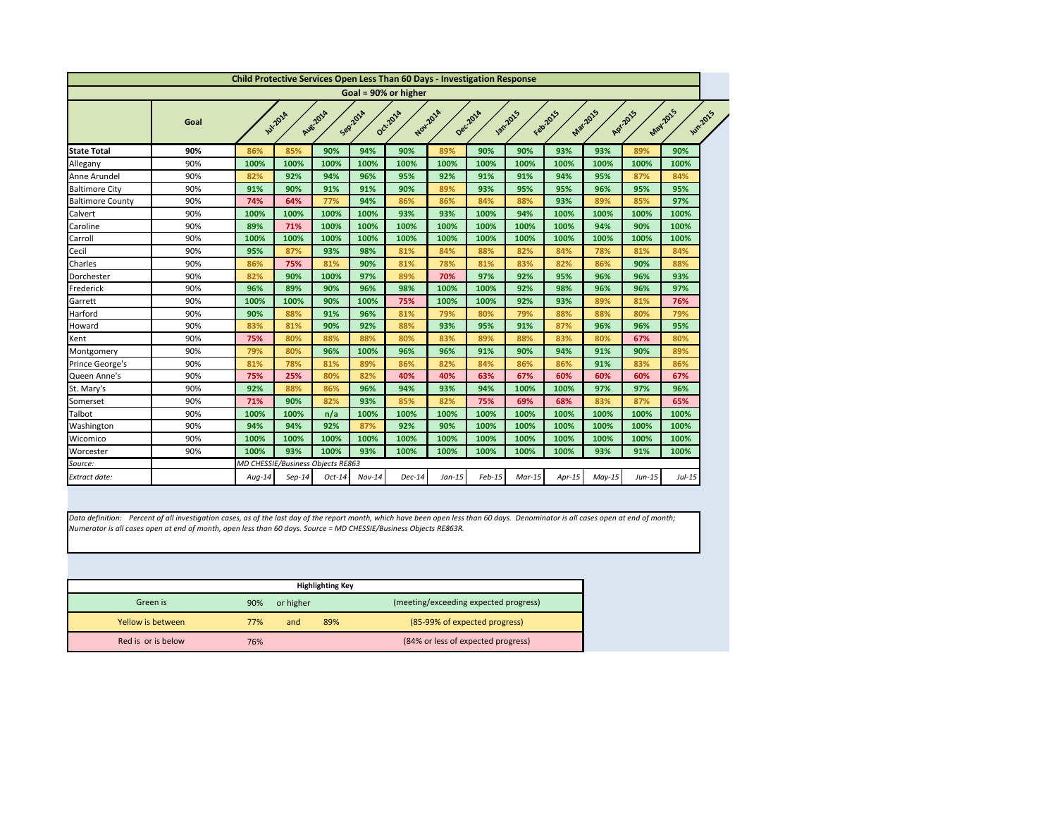<span id="page-2-0"></span>

|                         |      |        |                                   |          |          | <b>Child Protective Services Open Less Than 60 Days - Investigation Response</b> |          |          |                 |          |          |           |                             |  |
|-------------------------|------|--------|-----------------------------------|----------|----------|----------------------------------------------------------------------------------|----------|----------|-----------------|----------|----------|-----------|-----------------------------|--|
|                         |      |        |                                   |          |          | Goal = 90% or higher                                                             |          |          |                 |          |          |           |                             |  |
|                         | Goal |        | <b>Jul-2014</b>                   | Aug-2014 | Sepilora | Oct-2014                                                                         | Nov.2014 | Decilora | <b>Jan.2015</b> | Febr2015 | Mar-2015 | Apr. 2015 | May 2015<br><b>Jun-2015</b> |  |
| <b>State Total</b>      | 90%  | 86%    | 85%                               | 90%      | 94%      | 90%                                                                              | 89%      | 90%      | 90%             | 93%      | 93%      | 89%       | 90%                         |  |
| Allegany                | 90%  | 100%   | 100%                              | 100%     | 100%     | 100%                                                                             | 100%     | 100%     | 100%            | 100%     | 100%     | 100%      | 100%                        |  |
| Anne Arundel            | 90%  | 82%    | 92%                               | 94%      | 96%      | 95%                                                                              | 92%      | 91%      | 91%             | 94%      | 95%      | 87%       | 84%                         |  |
| <b>Baltimore City</b>   | 90%  | 91%    | 90%                               | 91%      | 91%      | 90%                                                                              | 89%      | 93%      | 95%             | 95%      | 96%      | 95%       | 95%                         |  |
| <b>Baltimore County</b> | 90%  | 74%    | 64%                               | 77%      | 94%      | 86%                                                                              | 86%      | 84%      | 88%             | 93%      | 89%      | 85%       | 97%                         |  |
| Calvert                 | 90%  | 100%   | 100%                              | 100%     | 100%     | 93%                                                                              | 93%      | 100%     | 94%             | 100%     | 100%     | 100%      | 100%                        |  |
| Caroline                | 90%  | 89%    | 71%                               | 100%     | 100%     | 100%                                                                             | 100%     | 100%     | 100%            | 100%     | 94%      | 90%       | 100%                        |  |
| Carroll                 | 90%  | 100%   | 100%                              | 100%     | 100%     | 100%                                                                             | 100%     | 100%     | 100%            | 100%     | 100%     | 100%      | 100%                        |  |
| Cecil                   | 90%  | 95%    | 87%                               | 93%      | 98%      | 81%                                                                              | 84%      | 88%      | 82%             | 84%      | 78%      | 81%       | 84%                         |  |
| Charles                 | 90%  | 86%    | 75%                               | 81%      | 90%      | 81%                                                                              | 78%      | 81%      | 83%             | 82%      | 86%      | 90%       | 88%                         |  |
| Dorchester              | 90%  | 82%    | 90%                               | 100%     | 97%      | 89%                                                                              | 70%      | 97%      | 92%             | 95%      | 96%      | 96%       | 93%                         |  |
| Frederick               | 90%  | 96%    | 89%                               | 90%      | 96%      | 98%                                                                              | 100%     | 100%     | 92%             | 98%      | 96%      | 96%       | 97%                         |  |
| Garrett                 | 90%  | 100%   | 100%                              | 90%      | 100%     | 75%                                                                              | 100%     | 100%     | 92%             | 93%      | 89%      | 81%       | 76%                         |  |
| Harford                 | 90%  | 90%    | 88%                               | 91%      | 96%      | 81%                                                                              | 79%      | 80%      | 79%             | 88%      | 88%      | 80%       | 79%                         |  |
| Howard                  | 90%  | 83%    | 81%                               | 90%      | 92%      | 88%                                                                              | 93%      | 95%      | 91%             | 87%      | 96%      | 96%       | 95%                         |  |
| Kent                    | 90%  | 75%    | 80%                               | 88%      | 88%      | 80%                                                                              | 83%      | 89%      | 88%             | 83%      | 80%      | 67%       | 80%                         |  |
| Montgomery              | 90%  | 79%    | 80%                               | 96%      | 100%     | 96%                                                                              | 96%      | 91%      | 90%             | 94%      | 91%      | 90%       | 89%                         |  |
| Prince George's         | 90%  | 81%    | 78%                               | 81%      | 89%      | 86%                                                                              | 82%      | 84%      | 86%             | 86%      | 91%      | 83%       | 86%                         |  |
| Queen Anne's            | 90%  | 75%    | 25%                               | 80%      | 82%      | 40%                                                                              | 40%      | 63%      | 67%             | 60%      | 60%      | 60%       | 67%                         |  |
| St. Mary's              | 90%  | 92%    | 88%                               | 86%      | 96%      | 94%                                                                              | 93%      | 94%      | 100%            | 100%     | 97%      | 97%       | 96%                         |  |
| Somerset                | 90%  | 71%    | 90%                               | 82%      | 93%      | 85%                                                                              | 82%      | 75%      | 69%             | 68%      | 83%      | 87%       | 65%                         |  |
| <b>Talbot</b>           | 90%  | 100%   | 100%                              | n/a      | 100%     | 100%                                                                             | 100%     | 100%     | 100%            | 100%     | 100%     | 100%      | 100%                        |  |
| Washington              | 90%  | 94%    | 94%                               | 92%      | 87%      | 92%                                                                              | 90%      | 100%     | 100%            | 100%     | 100%     | 100%      | 100%                        |  |
| Wicomico                | 90%  | 100%   | 100%                              | 100%     | 100%     | 100%                                                                             | 100%     | 100%     | 100%            | 100%     | 100%     | 100%      | 100%                        |  |
| Worcester               | 90%  | 100%   | 93%                               | 100%     | 93%      | 100%                                                                             | 100%     | 100%     | 100%            | 100%     | 93%      | 91%       | 100%                        |  |
| Source:                 |      |        | MD CHESSIE/Business Objects RE863 |          |          |                                                                                  |          |          |                 |          |          |           |                             |  |
| <b>Extract date:</b>    |      | Aug-14 | $Sep-14$                          | Oct-14   | $Nov-14$ | <b>Dec-14</b>                                                                    | Jan-15   | $Feb-15$ | $Mar-15$        | Apr-15   | May-15   | Jun-15    | Jul-15                      |  |

*Data definition: Percent of all investigation cases, as of the last day of the report month, which have been open less than 60 days. Denominator is all cases open at end of month; Numerator is all cases open at end of month, open less than 60 days. Source = MD CHESSIE/Business Objects RE863R.*

|                    |     |           | <b>Highlighting Key</b> |                                       |
|--------------------|-----|-----------|-------------------------|---------------------------------------|
| Green is           | 90% | or higher |                         | (meeting/exceeding expected progress) |
| Yellow is between  | 77% | and       | 89%                     | (85-99% of expected progress)         |
| Red is or is below | 76% |           |                         | (84% or less of expected progress)    |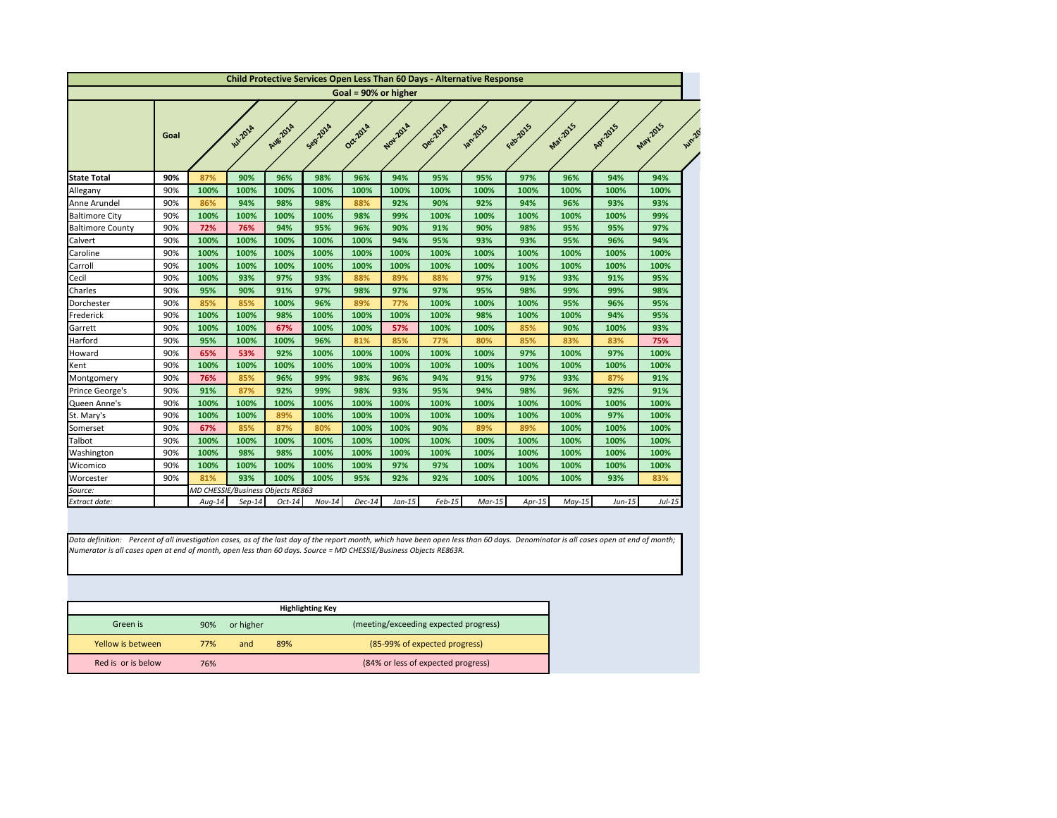<span id="page-3-0"></span>

|                         |      |          |                                   |          |          |                      |          |          | <b>Child Protective Services Open Less Than 60 Days - Alternative Response</b> |          |          |           |                   |
|-------------------------|------|----------|-----------------------------------|----------|----------|----------------------|----------|----------|--------------------------------------------------------------------------------|----------|----------|-----------|-------------------|
|                         |      |          |                                   |          |          | Goal = 90% or higher |          |          |                                                                                |          |          |           |                   |
|                         | Goal |          | <b>Jul-2014</b>                   | Aug-2014 | Sep201A  | Oct-2014             | Nov.2014 | Dec.2014 | <b>Jan.2015</b>                                                                | Febricis | Mar.2015 | Apr. 2015 | May2015<br>Jun-20 |
| <b>State Total</b>      | 90%  | 87%      | 90%                               | 96%      | 98%      | 96%                  | 94%      | 95%      | 95%                                                                            | 97%      | 96%      | 94%       | 94%               |
| Allegany                | 90%  | 100%     | 100%                              | 100%     | 100%     | 100%                 | 100%     | 100%     | 100%                                                                           | 100%     | 100%     | 100%      | 100%              |
| Anne Arundel            | 90%  | 86%      | 94%                               | 98%      | 98%      | 88%                  | 92%      | 90%      | 92%                                                                            | 94%      | 96%      | 93%       | 93%               |
| <b>Baltimore City</b>   | 90%  | 100%     | 100%                              | 100%     | 100%     | 98%                  | 99%      | 100%     | 100%                                                                           | 100%     | 100%     | 100%      | 99%               |
| <b>Baltimore County</b> | 90%  | 72%      | 76%                               | 94%      | 95%      | 96%                  | 90%      | 91%      | 90%                                                                            | 98%      | 95%      | 95%       | 97%               |
| Calvert                 | 90%  | 100%     | 100%                              | 100%     | 100%     | 100%                 | 94%      | 95%      | 93%                                                                            | 93%      | 95%      | 96%       | 94%               |
| Caroline                | 90%  | 100%     | 100%                              | 100%     | 100%     | 100%                 | 100%     | 100%     | 100%                                                                           | 100%     | 100%     | 100%      | 100%              |
| Carroll                 | 90%  | 100%     | 100%                              | 100%     | 100%     | 100%                 | 100%     | 100%     | 100%                                                                           | 100%     | 100%     | 100%      | 100%              |
| Cecil                   | 90%  | 100%     | 93%                               | 97%      | 93%      | 88%                  | 89%      | 88%      | 97%                                                                            | 91%      | 93%      | 91%       | 95%               |
| Charles                 | 90%  | 95%      | 90%                               | 91%      | 97%      | 98%                  | 97%      | 97%      | 95%                                                                            | 98%      | 99%      | 99%       | 98%               |
| Dorchester              | 90%  | 85%      | 85%                               | 100%     | 96%      | 89%                  | 77%      | 100%     | 100%                                                                           | 100%     | 95%      | 96%       | 95%               |
| Frederick               | 90%  | 100%     | 100%                              | 98%      | 100%     | 100%                 | 100%     | 100%     | 98%                                                                            | 100%     | 100%     | 94%       | 95%               |
| Garrett                 | 90%  | 100%     | 100%                              | 67%      | 100%     | 100%                 | 57%      | 100%     | 100%                                                                           | 85%      | 90%      | 100%      | 93%               |
| Harford                 | 90%  | 95%      | 100%                              | 100%     | 96%      | 81%                  | 85%      | 77%      | 80%                                                                            | 85%      | 83%      | 83%       | 75%               |
| Howard                  | 90%  | 65%      | 53%                               | 92%      | 100%     | 100%                 | 100%     | 100%     | 100%                                                                           | 97%      | 100%     | 97%       | 100%              |
| Kent                    | 90%  | 100%     | 100%                              | 100%     | 100%     | 100%                 | 100%     | 100%     | 100%                                                                           | 100%     | 100%     | 100%      | 100%              |
| Montgomery              | 90%  | 76%      | 85%                               | 96%      | 99%      | 98%                  | 96%      | 94%      | 91%                                                                            | 97%      | 93%      | 87%       | 91%               |
| Prince George's         | 90%  | 91%      | 87%                               | 92%      | 99%      | 98%                  | 93%      | 95%      | 94%                                                                            | 98%      | 96%      | 92%       | 91%               |
| Queen Anne's            | 90%  | 100%     | 100%                              | 100%     | 100%     | 100%                 | 100%     | 100%     | 100%                                                                           | 100%     | 100%     | 100%      | 100%              |
| St. Mary's              | 90%  | 100%     | 100%                              | 89%      | 100%     | 100%                 | 100%     | 100%     | 100%                                                                           | 100%     | 100%     | 97%       | 100%              |
| Somerset                | 90%  | 67%      | 85%                               | 87%      | 80%      | 100%                 | 100%     | 90%      | 89%                                                                            | 89%      | 100%     | 100%      | 100%              |
| Talbot                  | 90%  | 100%     | 100%                              | 100%     | 100%     | 100%                 | 100%     | 100%     | 100%                                                                           | 100%     | 100%     | 100%      | 100%              |
| Washington              | 90%  | 100%     | 98%                               | 98%      | 100%     | 100%                 | 100%     | 100%     | 100%                                                                           | 100%     | 100%     | 100%      | 100%              |
| Wicomico                | 90%  | 100%     | 100%                              | 100%     | 100%     | 100%                 | 97%      | 97%      | 100%                                                                           | 100%     | 100%     | 100%      | 100%              |
| Worcester               | 90%  | 81%      | 93%                               | 100%     | 100%     | 95%                  | 92%      | 92%      | 100%                                                                           | 100%     | 100%     | 93%       | 83%               |
| Source:                 |      |          | MD CHESSIE/Business Objects RE863 |          |          |                      |          |          |                                                                                |          |          |           |                   |
| Extract date:           |      | $Aug-14$ | $Sep-14$                          | $Oct-14$ | $Nov-14$ | $Dec-14$             | $Jan-15$ | $Feb-15$ | $Mar-15$                                                                       | $Apr-15$ | $May-15$ | $Jun-15$  | $Jul-15$          |

|                    |     |           | <b>Highlighting Key</b> |                                       |
|--------------------|-----|-----------|-------------------------|---------------------------------------|
| Green is           | 90% | or higher |                         | (meeting/exceeding expected progress) |
| Yellow is between  | 77% | and       | 89%                     | (85-99% of expected progress)         |
| Red is or is below | 76% |           |                         | (84% or less of expected progress)    |

*Data definition: Percent of all investigation cases, as of the last day of the report month, which have been open less than 60 days. Denominator is all cases open at end of month; Numerator is all cases open at end of month, open less than 60 days. Source = MD CHESSIE/Business Objects RE863R.*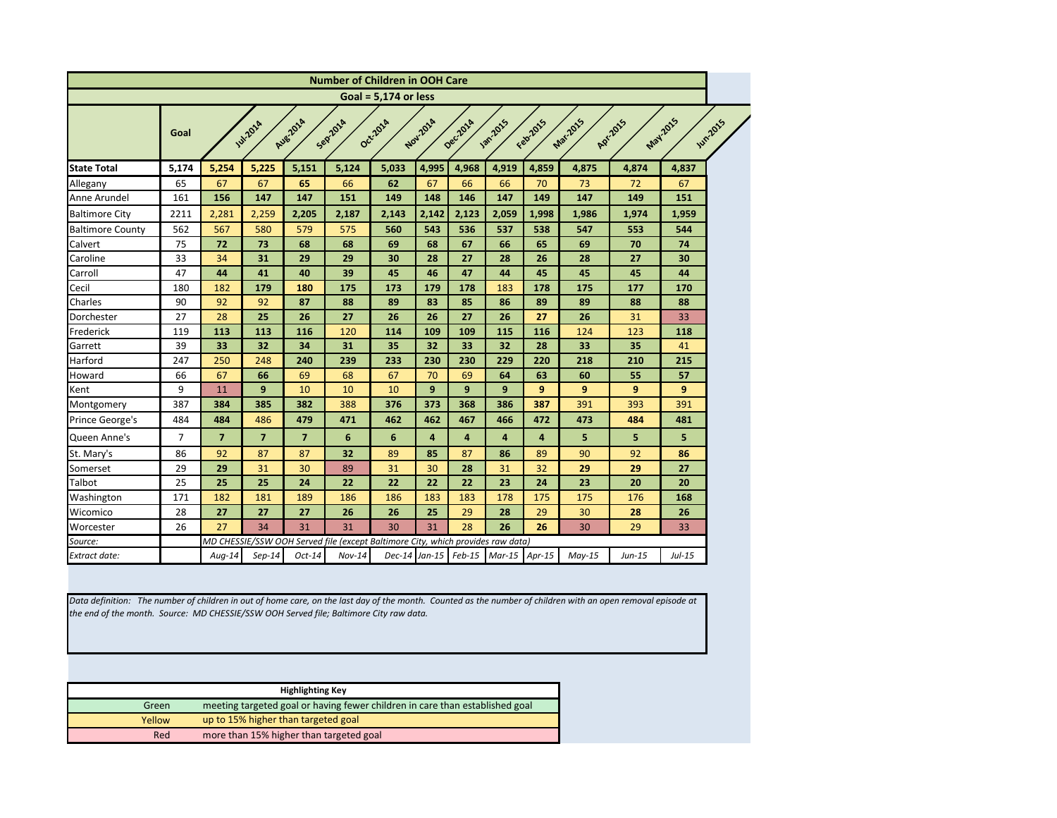<span id="page-4-0"></span>

|                         |                |                |                  |                         | <b>Number of Children in OOH Care</b>                                           |                        |                 |          |                 |                |                  |          |          |          |
|-------------------------|----------------|----------------|------------------|-------------------------|---------------------------------------------------------------------------------|------------------------|-----------------|----------|-----------------|----------------|------------------|----------|----------|----------|
|                         |                |                |                  |                         |                                                                                 | Goal = $5,174$ or less |                 |          |                 |                |                  |          |          |          |
|                         | Goal           |                | <b>Jul-201</b> 4 | Aug-2014                | Sepraze                                                                         | Oct-2014               | Nov.2014        | Dec.2014 | <b>Jan-2015</b> | Febr2015       | Mar-2015         | Apr.2015 | May2015  | Jun-2015 |
| <b>State Total</b>      | 5,174          | 5,254          | 5,225            | 5,151                   | 5,124                                                                           | 5,033                  | 4,995           | 4,968    | 4,919           | 4,859          | 4,875            | 4,874    | 4,837    |          |
| Allegany                | 65             | 67             | 67               | 65                      | 66                                                                              | 62                     | 67              | 66       | 66              | 70             | 73               | 72       | 67       |          |
| Anne Arundel            | 161            | 156            | 147              | 147                     | 151                                                                             | 149                    | 148             | 146      | 147             | 149            | 147              | 149      | 151      |          |
| <b>Baltimore City</b>   | 2211           | 2,281          | 2,259            | 2,205                   | 2,187                                                                           | 2,143                  | 2,142           | 2,123    | 2,059           | 1,998          | 1,986            | 1,974    | 1,959    |          |
| <b>Baltimore County</b> | 562            | 567            | 580              | 579                     | 575                                                                             | 560                    | 543             | 536      | 537             | 538            | 547              | 553      | 544      |          |
| Calvert                 | 75             | 72             | 73               | 68                      | 68                                                                              | 69                     | 68              | 67       | 66              | 65             | 69               | 70       | 74       |          |
| Caroline                | 33             | 34             | 31               | 29                      | 29                                                                              | 30                     | 28              | 27       | 28              | 26             | 28               | 27       | 30       |          |
| Carroll                 | 47             | 44             | 41               | 40                      | 39                                                                              | 45                     | 46              | 47       | 44              | 45             | 45               | 45       | 44       |          |
| Cecil                   | 180            | 182            | 179              | 180                     | 175                                                                             | 173                    | 179             | 178      | 183             | 178            | 175              | 177      | 170      |          |
| Charles                 | 90             | 92             | 92               | 87                      | 88                                                                              | 89                     | 83              | 85       | 86              | 89             | 89               | 88       | 88       |          |
| Dorchester              | 27             | 28             | 25               | 26                      | 27                                                                              | 26                     | 26              | 27       | 26              | 27             | 26               | 31       | 33       |          |
| Frederick               | 119            | 113            | 113              | 116                     | 120                                                                             | 114                    | 109             | 109      | 115             | 116            | 124              | 123      | 118      |          |
| Garrett                 | 39             | 33             | 32               | 34                      | 31                                                                              | 35                     | 32              | 33       | 32              | 28             | 33               | 35       | 41       |          |
| Harford                 | 247            | 250            | 248              | 240                     | 239                                                                             | 233                    | 230             | 230      | 229             | 220            | 218              | 210      | 215      |          |
| Howard                  | 66             | 67             | 66               | 69                      | 68                                                                              | 67                     | 70              | 69       | 64              | 63             | 60               | 55       | 57       |          |
| Kent                    | 9              | 11             | 9                | 10                      | 10                                                                              | 10                     | $\mathbf{9}$    | 9        | $\mathbf{9}$    | $\mathbf{9}$   | $\boldsymbol{9}$ | 9        | 9        |          |
| Montgomery              | 387            | 384            | 385              | 382                     | 388                                                                             | 376                    | 373             | 368      | 386             | 387            | 391              | 393      | 391      |          |
| Prince George's         | 484            | 484            | 486              | 479                     | 471                                                                             | 462                    | 462             | 467      | 466             | 472            | 473              | 484      | 481      |          |
| Queen Anne's            | $\overline{7}$ | $\overline{7}$ | $\overline{7}$   | $\overline{\mathbf{z}}$ | $6\phantom{1}$                                                                  | $6\phantom{1}6$        | $\overline{4}$  | 4        | $\overline{4}$  | $\overline{4}$ | 5                | 5        | 5        |          |
| St. Mary's              | 86             | 92             | 87               | 87                      | 32                                                                              | 89                     | 85              | 87       | 86              | 89             | 90               | 92       | 86       |          |
| Somerset                | 29             | 29             | 31               | 30                      | 89                                                                              | 31                     | 30              | 28       | 31              | 32             | 29               | 29       | 27       |          |
| Talbot                  | 25             | 25             | 25               | 24                      | 22                                                                              | 22                     | 22              | 22       | 23              | 24             | 23               | 20       | 20       |          |
| Washington              | 171            | 182            | 181              | 189                     | 186                                                                             | 186                    | 183             | 183      | 178             | 175            | 175              | 176      | 168      |          |
| Wicomico                | 28             | 27             | 27               | 27                      | 26                                                                              | 26                     | 25              | 29       | 28              | 29             | 30               | 28       | 26       |          |
| Worcester               | 26             | 27             | 34               | 31                      | 31                                                                              | 30                     | 31              | 28       | 26              | 26             | 30               | 29       | 33       |          |
| Source:                 |                |                |                  |                         | MD CHESSIE/SSW OOH Served file (except Baltimore City, which provides raw data) |                        |                 |          |                 |                |                  |          |          |          |
| <b>Extract date:</b>    |                | Aug-14         | $Sep-14$         | Oct-14                  | $Nov-14$                                                                        |                        | $Dec-14$ Jan-15 | $Feb-15$ | $Mar-15$ Apr-15 |                | $May-15$         | Jun-15   | $Jul-15$ |          |

*Data definition: The number of children in out of home care, on the last day of the month. Counted as the number of children with an open removal episode at the end of the month. Source: MD CHESSIE/SSW OOH Served file; Baltimore City raw data.*

|        | <b>Highlighting Key</b>                                                      |
|--------|------------------------------------------------------------------------------|
| Green  | meeting targeted goal or having fewer children in care than established goal |
| Yellow | up to 15% higher than targeted goal                                          |
| Red    | more than 15% higher than targeted goal                                      |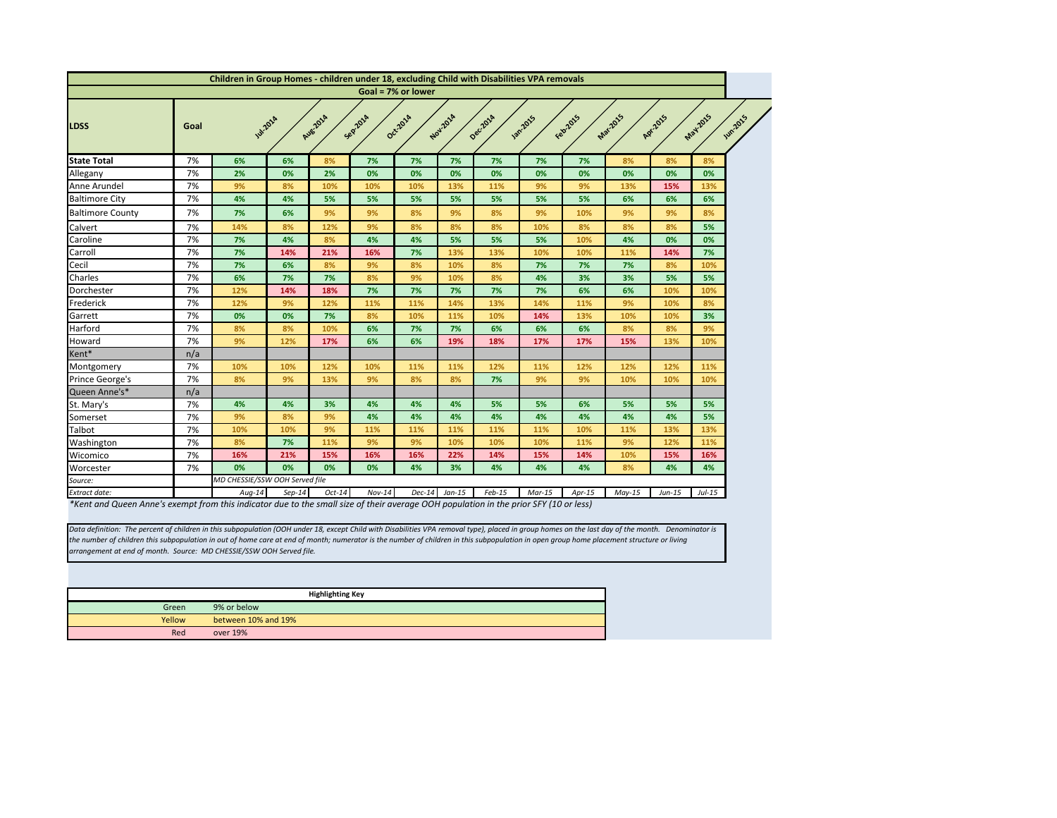

<span id="page-5-0"></span>

|                         |      | Children in Group Homes - children under 18, excluding Child with Disabilities VPA removals |          |                    |          |                    |          |                                               |                    |                     |          |           |          |
|-------------------------|------|---------------------------------------------------------------------------------------------|----------|--------------------|----------|--------------------|----------|-----------------------------------------------|--------------------|---------------------|----------|-----------|----------|
|                         |      |                                                                                             |          |                    |          | Goal = 7% or lower |          |                                               |                    |                     |          |           |          |
| <b>LDSS</b>             | Goal | <b>141-2018</b>                                                                             |          | Aug-2014           | Sep201A  | Oct-2014           | Nov-2014 | Decilora                                      | <b>1872015</b>     | Feb2015             | Mar-2015 | Apr. 2015 | May-2015 |
| <b>State Total</b>      | 7%   | 6%                                                                                          | 6%       | 8%                 | 7%       | 7%                 | 7%       | 7%                                            | 7%                 | 7%                  | 8%       | 8%        | 8%       |
| Allegany                | 7%   | 2%                                                                                          | 0%       | 2%                 | 0%       | 0%                 | 0%       | 0%                                            | 0%                 | 0%                  | 0%       | 0%        | 0%       |
| Anne Arundel            | 7%   | 9%                                                                                          | 8%       | 10%                | 10%      | 10%                | 13%      | 11%                                           | 9%                 | 9%                  | 13%      | 15%       | 13%      |
| <b>Baltimore City</b>   | 7%   | 4%                                                                                          | 4%       | 5%                 | 5%       | 5%                 | 5%       | 5%                                            | 5%                 | 5%                  | 6%       | 6%        | 6%       |
| <b>Baltimore County</b> | 7%   | 7%                                                                                          | 6%       | 9%                 | 9%       | 8%                 | 9%       | 8%                                            | 9%                 | 10%                 | 9%       | 9%        | 8%       |
| Calvert                 | 7%   | 14%                                                                                         | 8%       | 12%                | 9%       | 8%                 | 8%       | 8%                                            | 10%                | 8%                  | 8%       | 8%        | 5%       |
| Caroline                | 7%   | 7%                                                                                          | 4%       | 8%                 | 4%       | 4%                 | 5%       | 5%                                            | 5%                 | 10%                 | 4%       | 0%        | 0%       |
| Carroll                 | 7%   | 7%                                                                                          | 14%      | 21%                | 16%      | 7%                 | 13%      | 13%                                           | 10%                | 10%                 | 11%      | 14%       | 7%       |
| Cecil                   | 7%   | 7%                                                                                          | 6%       | 8%                 | 9%       | 8%                 | 10%      | 8%                                            | 7%                 | 7%                  | 7%       | 8%        | 10%      |
| Charles                 | 7%   | 6%                                                                                          | 7%       | 7%                 | 8%       | 9%                 | 10%      | 8%                                            | 4%                 | 3%                  | 3%       | 5%        | 5%       |
| Dorchester              | 7%   | 12%                                                                                         | 14%      | 18%                | 7%       | 7%                 | 7%       | 7%                                            | 7%                 | 6%                  | 6%       | 10%       | 10%      |
| Frederick               | 7%   | 12%                                                                                         | 9%       | 12%                | 11%      | 11%                | 14%      | 13%                                           | 14%                | 11%                 | 9%       | 10%       | 8%       |
| Garrett                 | 7%   | 0%                                                                                          | 0%       | 7%                 | 8%       | 10%                | 11%      | 10%                                           | 14%                | 13%                 | 10%      | 10%       | 3%       |
| Harford                 | 7%   | 8%                                                                                          | 8%       | 10%                | 6%       | 7%                 | 7%       | 6%                                            | 6%                 | 6%                  | 8%       | 8%        | 9%       |
| Howard                  | 7%   | 9%                                                                                          | 12%      | 17%                | 6%       | 6%                 | 19%      | 18%                                           | 17%                | 17%                 | 15%      | 13%       | 10%      |
| Kent*                   | n/a  |                                                                                             |          |                    |          |                    |          |                                               |                    |                     |          |           |          |
| Montgomery              | 7%   | 10%                                                                                         | 10%      | 12%                | 10%      | 11%                | 11%      | 12%                                           | 11%                | 12%                 | 12%      | 12%       | 11%      |
| Prince George's         | 7%   | 8%                                                                                          | 9%       | 13%                | 9%       | 8%                 | 8%       | 7%                                            | 9%                 | 9%                  | 10%      | 10%       | 10%      |
| Queen Anne's*           | n/a  |                                                                                             |          |                    |          |                    |          |                                               |                    |                     |          |           |          |
| St. Mary's              | 7%   | 4%                                                                                          | 4%       | 3%                 | 4%       | 4%                 | 4%       | 5%                                            | 5%                 | 6%                  | 5%       | 5%        | 5%       |
| Somerset                | 7%   | 9%                                                                                          | 8%       | 9%                 | 4%       | 4%                 | 4%       | 4%                                            | 4%                 | 4%                  | 4%       | 4%        | 5%       |
| Talbot                  | 7%   | 10%                                                                                         | 10%      | 9%                 | 11%      | 11%                | 11%      | 11%                                           | 11%                | 10%                 | 11%      | 13%       | 13%      |
| Washington              | 7%   | 8%                                                                                          | 7%       | 11%                | 9%       | 9%                 | 10%      | 10%                                           | 10%                | 11%                 | 9%       | 12%       | 11%      |
| Wicomico                | 7%   | 16%                                                                                         | 21%      | 15%                | 16%      | 16%                | 22%      | 14%                                           | 15%                | 14%                 | 10%      | 15%       | 16%      |
| Worcester               | 7%   | 0%                                                                                          | 0%       | 0%                 | 0%       | 4%                 | 3%       | 4%                                            | 4%                 | 4%                  | 8%       | 4%        | 4%       |
| Source:                 |      | MD CHESSIE/SSW OOH Served file                                                              |          |                    |          |                    |          |                                               |                    |                     |          |           |          |
| Extract date:           |      | $Aug-14$<br>$\mathbf{1}$ , $\mathbf{1}$ , $\mathbf{1}$ , $\mathbf{1}$ , $\mathbf{1}$        | $Sep-14$ | $Oct-14$<br>$11 -$ | $Nov-14$ | $Dec-14$           | $Jan-15$ | $Feb-15$<br>$\cdot$ . $\cdot$ $\cdot$ $\cdot$ | $Mar-15$<br>CTV/40 | $Apr-15$<br>$1 - 1$ | $May-15$ | $Jun-15$  | $Jul-15$ |

*\*Kent and Queen Anne's exempt from this indicator due to the small size of their average OOH population in the prior SFY (10 or less)*

|        | <b>Highlighting Key</b> |
|--------|-------------------------|
| Green  | 9% or below             |
| Yellow | between 10% and 19%     |
| Red    | over 19%                |

*Data definition: The percent of children in this subpopulation (OOH under 18, except Child with Disabilities VPA removal type), placed in group homes on the last day of the month. Denominator is the number of children this subpopulation in out of home care at end of month; numerator is the number of children in this subpopulation in open group home placement structure or living arrangement at end of month. Source: MD CHESSIE/SSW OOH Served file.*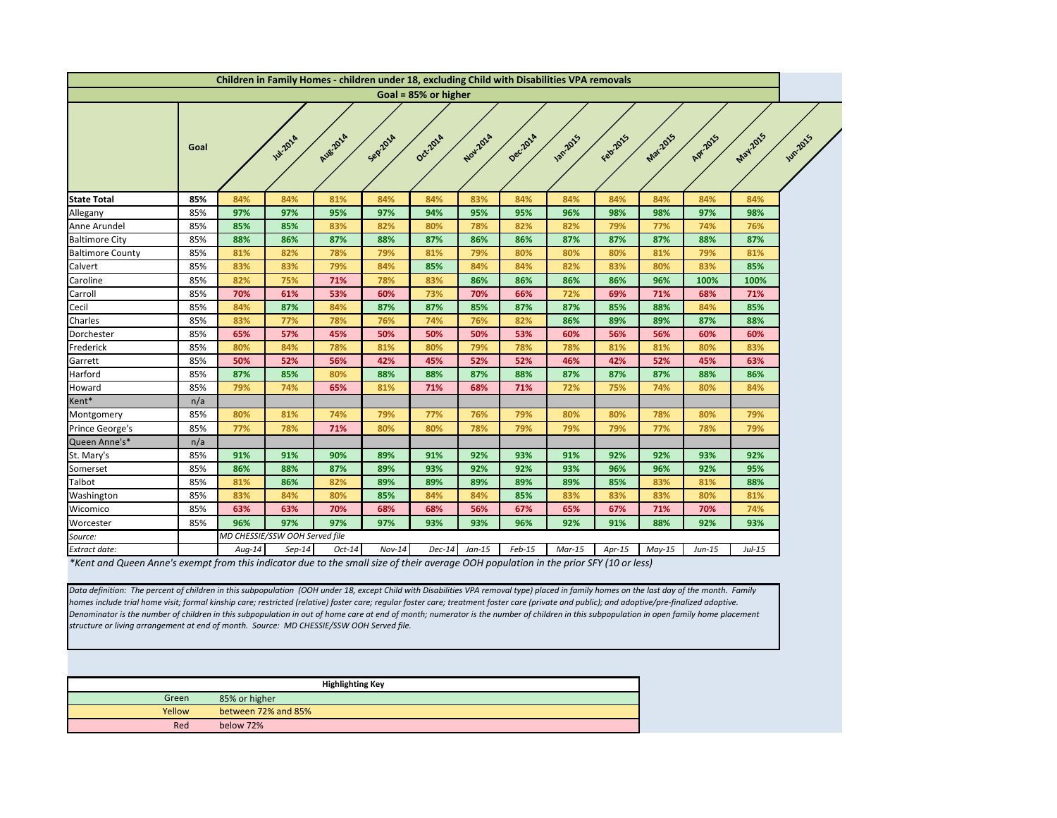<span id="page-6-0"></span>

| Goal = 85% or higher<br>Mar-2015<br>Febr2015<br>Aug-2014<br>Oct-2014<br>Nov.2014<br><b>1201-2015</b><br>Apr.2015<br>Sepzoza<br>Decilora<br><b>141-201</b> 4<br>Goal<br>84%<br><b>State Total</b><br>85%<br>84%<br>84%<br>81%<br>84%<br>84%<br>83%<br>84%<br>84%<br>84%<br>84%<br>Allegany<br>85%<br>97%<br>97%<br>95%<br>97%<br>94%<br>95%<br>95%<br>96%<br>98%<br>98%<br>97%<br>85%<br>77%<br>Anne Arundel<br>85%<br>85%<br>83%<br>82%<br>80%<br>78%<br>82%<br>82%<br>79%<br>74%<br><b>Baltimore City</b><br>85%<br>88%<br>86%<br>87%<br>88%<br>87%<br>86%<br>86%<br>87%<br>87%<br>88%<br>87%<br><b>Baltimore County</b><br>85%<br>81%<br>82%<br>78%<br>79%<br>80%<br>80%<br>80%<br>81%<br>79%<br>79%<br>81%<br>Calvert<br>83%<br>79%<br>83%<br>80%<br>85%<br>83%<br>84%<br>85%<br>84%<br>84%<br>82%<br>83%<br>82%<br>86%<br>86%<br>96%<br>85%<br>75%<br>71%<br>78%<br>83%<br>86%<br>86%<br>100%<br>Caroline<br>70%<br>53%<br>70%<br>66%<br>Carroll<br>85%<br>61%<br>60%<br>73%<br>72%<br>69%<br>71%<br>68%<br>85%<br>84%<br>87%<br>84%<br>85%<br>85%<br>88%<br>Cecil<br>87%<br>87%<br>87%<br>87%<br>84%<br>89%<br>82%<br>86%<br>89%<br>87%<br>Charles<br>83%<br>78%<br>76%<br>85%<br>77%<br>76%<br>74%<br>85%<br>65%<br>57%<br>45%<br>50%<br>50%<br>50%<br>53%<br>60%<br>56%<br>56%<br>60%<br>Dorchester<br>85%<br>80%<br>78%<br>79%<br>78%<br>81%<br>81%<br>80%<br>Frederick<br>84%<br>81%<br>80%<br>78%<br>85%<br>50%<br>56%<br>52%<br>52%<br>42%<br>52%<br>Garrett<br>52%<br>42%<br>45%<br>46%<br>45%<br>Harford<br>85%<br>87%<br>85%<br>80%<br>88%<br>88%<br>87%<br>88%<br>87%<br>87%<br>88%<br>87%<br>79%<br>85%<br>74%<br>65%<br>81%<br>71%<br>68%<br>71%<br>72%<br>75%<br>74%<br>80%<br>Howard<br>Kent*<br>n/a<br>80%<br>85%<br>81%<br>74%<br>79%<br>77%<br>76%<br>79%<br>80%<br>80%<br>78%<br>80%<br>Montgomery<br>77%<br>Prince George's<br>85%<br>78%<br>71%<br>80%<br>80%<br>78%<br>79%<br>79%<br>77%<br>78%<br>79%<br>Queen Anne's*<br>n/a<br>92%<br>85%<br>91%<br>91%<br>90%<br>89%<br>91%<br>92%<br>93%<br>91%<br>92%<br>93%<br>St. Mary's<br>86%<br>88%<br>92%<br>96%<br>92%<br>Somerset<br>85%<br>87%<br>89%<br>93%<br>92%<br>93%<br>96%<br>85%<br>81%<br>Talbot<br>81%<br>86%<br>82%<br>89%<br>89%<br>89%<br>89%<br>89%<br>85%<br>83%<br>Washington<br>85%<br>83%<br>84%<br>80%<br>84%<br>84%<br>83%<br>83%<br>80%<br>85%<br>85%<br>83%<br>63%<br>56%<br>67%<br>85%<br>63%<br>70%<br>68%<br>68%<br>67%<br>65%<br>71%<br>70%<br>Wicomico<br>96%<br>85%<br>97%<br>97%<br>97%<br>93%<br>93%<br>96%<br>92%<br>91%<br>88%<br>92%<br>Worcester |         |  | Children in Family Homes - children under 18, excluding Child with Disabilities VPA removals |  |  |  |  |          |                 |
|-------------------------------------------------------------------------------------------------------------------------------------------------------------------------------------------------------------------------------------------------------------------------------------------------------------------------------------------------------------------------------------------------------------------------------------------------------------------------------------------------------------------------------------------------------------------------------------------------------------------------------------------------------------------------------------------------------------------------------------------------------------------------------------------------------------------------------------------------------------------------------------------------------------------------------------------------------------------------------------------------------------------------------------------------------------------------------------------------------------------------------------------------------------------------------------------------------------------------------------------------------------------------------------------------------------------------------------------------------------------------------------------------------------------------------------------------------------------------------------------------------------------------------------------------------------------------------------------------------------------------------------------------------------------------------------------------------------------------------------------------------------------------------------------------------------------------------------------------------------------------------------------------------------------------------------------------------------------------------------------------------------------------------------------------------------------------------------------------------------------------------------------------------------------------------------------------------------------------------------------------------------------------------------------------------------------------------------------------------------------------------------------------------------------------------------------------------------------------------------------------------------------------------------------------------------|---------|--|----------------------------------------------------------------------------------------------|--|--|--|--|----------|-----------------|
|                                                                                                                                                                                                                                                                                                                                                                                                                                                                                                                                                                                                                                                                                                                                                                                                                                                                                                                                                                                                                                                                                                                                                                                                                                                                                                                                                                                                                                                                                                                                                                                                                                                                                                                                                                                                                                                                                                                                                                                                                                                                                                                                                                                                                                                                                                                                                                                                                                                                                                                                                             |         |  |                                                                                              |  |  |  |  |          |                 |
|                                                                                                                                                                                                                                                                                                                                                                                                                                                                                                                                                                                                                                                                                                                                                                                                                                                                                                                                                                                                                                                                                                                                                                                                                                                                                                                                                                                                                                                                                                                                                                                                                                                                                                                                                                                                                                                                                                                                                                                                                                                                                                                                                                                                                                                                                                                                                                                                                                                                                                                                                             |         |  |                                                                                              |  |  |  |  | May2015  | <b>Jun 2016</b> |
|                                                                                                                                                                                                                                                                                                                                                                                                                                                                                                                                                                                                                                                                                                                                                                                                                                                                                                                                                                                                                                                                                                                                                                                                                                                                                                                                                                                                                                                                                                                                                                                                                                                                                                                                                                                                                                                                                                                                                                                                                                                                                                                                                                                                                                                                                                                                                                                                                                                                                                                                                             |         |  |                                                                                              |  |  |  |  | 84%      |                 |
|                                                                                                                                                                                                                                                                                                                                                                                                                                                                                                                                                                                                                                                                                                                                                                                                                                                                                                                                                                                                                                                                                                                                                                                                                                                                                                                                                                                                                                                                                                                                                                                                                                                                                                                                                                                                                                                                                                                                                                                                                                                                                                                                                                                                                                                                                                                                                                                                                                                                                                                                                             |         |  |                                                                                              |  |  |  |  | 98%      |                 |
|                                                                                                                                                                                                                                                                                                                                                                                                                                                                                                                                                                                                                                                                                                                                                                                                                                                                                                                                                                                                                                                                                                                                                                                                                                                                                                                                                                                                                                                                                                                                                                                                                                                                                                                                                                                                                                                                                                                                                                                                                                                                                                                                                                                                                                                                                                                                                                                                                                                                                                                                                             |         |  |                                                                                              |  |  |  |  | 76%      |                 |
|                                                                                                                                                                                                                                                                                                                                                                                                                                                                                                                                                                                                                                                                                                                                                                                                                                                                                                                                                                                                                                                                                                                                                                                                                                                                                                                                                                                                                                                                                                                                                                                                                                                                                                                                                                                                                                                                                                                                                                                                                                                                                                                                                                                                                                                                                                                                                                                                                                                                                                                                                             |         |  |                                                                                              |  |  |  |  | 87%      |                 |
|                                                                                                                                                                                                                                                                                                                                                                                                                                                                                                                                                                                                                                                                                                                                                                                                                                                                                                                                                                                                                                                                                                                                                                                                                                                                                                                                                                                                                                                                                                                                                                                                                                                                                                                                                                                                                                                                                                                                                                                                                                                                                                                                                                                                                                                                                                                                                                                                                                                                                                                                                             |         |  |                                                                                              |  |  |  |  | 81%      |                 |
|                                                                                                                                                                                                                                                                                                                                                                                                                                                                                                                                                                                                                                                                                                                                                                                                                                                                                                                                                                                                                                                                                                                                                                                                                                                                                                                                                                                                                                                                                                                                                                                                                                                                                                                                                                                                                                                                                                                                                                                                                                                                                                                                                                                                                                                                                                                                                                                                                                                                                                                                                             |         |  |                                                                                              |  |  |  |  | 85%      |                 |
|                                                                                                                                                                                                                                                                                                                                                                                                                                                                                                                                                                                                                                                                                                                                                                                                                                                                                                                                                                                                                                                                                                                                                                                                                                                                                                                                                                                                                                                                                                                                                                                                                                                                                                                                                                                                                                                                                                                                                                                                                                                                                                                                                                                                                                                                                                                                                                                                                                                                                                                                                             |         |  |                                                                                              |  |  |  |  | 100%     |                 |
|                                                                                                                                                                                                                                                                                                                                                                                                                                                                                                                                                                                                                                                                                                                                                                                                                                                                                                                                                                                                                                                                                                                                                                                                                                                                                                                                                                                                                                                                                                                                                                                                                                                                                                                                                                                                                                                                                                                                                                                                                                                                                                                                                                                                                                                                                                                                                                                                                                                                                                                                                             |         |  |                                                                                              |  |  |  |  | 71%      |                 |
|                                                                                                                                                                                                                                                                                                                                                                                                                                                                                                                                                                                                                                                                                                                                                                                                                                                                                                                                                                                                                                                                                                                                                                                                                                                                                                                                                                                                                                                                                                                                                                                                                                                                                                                                                                                                                                                                                                                                                                                                                                                                                                                                                                                                                                                                                                                                                                                                                                                                                                                                                             |         |  |                                                                                              |  |  |  |  | 85%      |                 |
|                                                                                                                                                                                                                                                                                                                                                                                                                                                                                                                                                                                                                                                                                                                                                                                                                                                                                                                                                                                                                                                                                                                                                                                                                                                                                                                                                                                                                                                                                                                                                                                                                                                                                                                                                                                                                                                                                                                                                                                                                                                                                                                                                                                                                                                                                                                                                                                                                                                                                                                                                             |         |  |                                                                                              |  |  |  |  | 88%      |                 |
|                                                                                                                                                                                                                                                                                                                                                                                                                                                                                                                                                                                                                                                                                                                                                                                                                                                                                                                                                                                                                                                                                                                                                                                                                                                                                                                                                                                                                                                                                                                                                                                                                                                                                                                                                                                                                                                                                                                                                                                                                                                                                                                                                                                                                                                                                                                                                                                                                                                                                                                                                             |         |  |                                                                                              |  |  |  |  | 60%      |                 |
|                                                                                                                                                                                                                                                                                                                                                                                                                                                                                                                                                                                                                                                                                                                                                                                                                                                                                                                                                                                                                                                                                                                                                                                                                                                                                                                                                                                                                                                                                                                                                                                                                                                                                                                                                                                                                                                                                                                                                                                                                                                                                                                                                                                                                                                                                                                                                                                                                                                                                                                                                             |         |  |                                                                                              |  |  |  |  | 83%      |                 |
|                                                                                                                                                                                                                                                                                                                                                                                                                                                                                                                                                                                                                                                                                                                                                                                                                                                                                                                                                                                                                                                                                                                                                                                                                                                                                                                                                                                                                                                                                                                                                                                                                                                                                                                                                                                                                                                                                                                                                                                                                                                                                                                                                                                                                                                                                                                                                                                                                                                                                                                                                             |         |  |                                                                                              |  |  |  |  | 63%      |                 |
|                                                                                                                                                                                                                                                                                                                                                                                                                                                                                                                                                                                                                                                                                                                                                                                                                                                                                                                                                                                                                                                                                                                                                                                                                                                                                                                                                                                                                                                                                                                                                                                                                                                                                                                                                                                                                                                                                                                                                                                                                                                                                                                                                                                                                                                                                                                                                                                                                                                                                                                                                             |         |  |                                                                                              |  |  |  |  | 86%      |                 |
|                                                                                                                                                                                                                                                                                                                                                                                                                                                                                                                                                                                                                                                                                                                                                                                                                                                                                                                                                                                                                                                                                                                                                                                                                                                                                                                                                                                                                                                                                                                                                                                                                                                                                                                                                                                                                                                                                                                                                                                                                                                                                                                                                                                                                                                                                                                                                                                                                                                                                                                                                             |         |  |                                                                                              |  |  |  |  | 84%      |                 |
|                                                                                                                                                                                                                                                                                                                                                                                                                                                                                                                                                                                                                                                                                                                                                                                                                                                                                                                                                                                                                                                                                                                                                                                                                                                                                                                                                                                                                                                                                                                                                                                                                                                                                                                                                                                                                                                                                                                                                                                                                                                                                                                                                                                                                                                                                                                                                                                                                                                                                                                                                             |         |  |                                                                                              |  |  |  |  |          |                 |
|                                                                                                                                                                                                                                                                                                                                                                                                                                                                                                                                                                                                                                                                                                                                                                                                                                                                                                                                                                                                                                                                                                                                                                                                                                                                                                                                                                                                                                                                                                                                                                                                                                                                                                                                                                                                                                                                                                                                                                                                                                                                                                                                                                                                                                                                                                                                                                                                                                                                                                                                                             |         |  |                                                                                              |  |  |  |  | 79%      |                 |
|                                                                                                                                                                                                                                                                                                                                                                                                                                                                                                                                                                                                                                                                                                                                                                                                                                                                                                                                                                                                                                                                                                                                                                                                                                                                                                                                                                                                                                                                                                                                                                                                                                                                                                                                                                                                                                                                                                                                                                                                                                                                                                                                                                                                                                                                                                                                                                                                                                                                                                                                                             |         |  |                                                                                              |  |  |  |  | 79%      |                 |
|                                                                                                                                                                                                                                                                                                                                                                                                                                                                                                                                                                                                                                                                                                                                                                                                                                                                                                                                                                                                                                                                                                                                                                                                                                                                                                                                                                                                                                                                                                                                                                                                                                                                                                                                                                                                                                                                                                                                                                                                                                                                                                                                                                                                                                                                                                                                                                                                                                                                                                                                                             |         |  |                                                                                              |  |  |  |  |          |                 |
|                                                                                                                                                                                                                                                                                                                                                                                                                                                                                                                                                                                                                                                                                                                                                                                                                                                                                                                                                                                                                                                                                                                                                                                                                                                                                                                                                                                                                                                                                                                                                                                                                                                                                                                                                                                                                                                                                                                                                                                                                                                                                                                                                                                                                                                                                                                                                                                                                                                                                                                                                             |         |  |                                                                                              |  |  |  |  | 92%      |                 |
|                                                                                                                                                                                                                                                                                                                                                                                                                                                                                                                                                                                                                                                                                                                                                                                                                                                                                                                                                                                                                                                                                                                                                                                                                                                                                                                                                                                                                                                                                                                                                                                                                                                                                                                                                                                                                                                                                                                                                                                                                                                                                                                                                                                                                                                                                                                                                                                                                                                                                                                                                             |         |  |                                                                                              |  |  |  |  | 95%      |                 |
|                                                                                                                                                                                                                                                                                                                                                                                                                                                                                                                                                                                                                                                                                                                                                                                                                                                                                                                                                                                                                                                                                                                                                                                                                                                                                                                                                                                                                                                                                                                                                                                                                                                                                                                                                                                                                                                                                                                                                                                                                                                                                                                                                                                                                                                                                                                                                                                                                                                                                                                                                             |         |  |                                                                                              |  |  |  |  | 88%      |                 |
|                                                                                                                                                                                                                                                                                                                                                                                                                                                                                                                                                                                                                                                                                                                                                                                                                                                                                                                                                                                                                                                                                                                                                                                                                                                                                                                                                                                                                                                                                                                                                                                                                                                                                                                                                                                                                                                                                                                                                                                                                                                                                                                                                                                                                                                                                                                                                                                                                                                                                                                                                             |         |  |                                                                                              |  |  |  |  | 81%      |                 |
|                                                                                                                                                                                                                                                                                                                                                                                                                                                                                                                                                                                                                                                                                                                                                                                                                                                                                                                                                                                                                                                                                                                                                                                                                                                                                                                                                                                                                                                                                                                                                                                                                                                                                                                                                                                                                                                                                                                                                                                                                                                                                                                                                                                                                                                                                                                                                                                                                                                                                                                                                             |         |  |                                                                                              |  |  |  |  | 74%      |                 |
|                                                                                                                                                                                                                                                                                                                                                                                                                                                                                                                                                                                                                                                                                                                                                                                                                                                                                                                                                                                                                                                                                                                                                                                                                                                                                                                                                                                                                                                                                                                                                                                                                                                                                                                                                                                                                                                                                                                                                                                                                                                                                                                                                                                                                                                                                                                                                                                                                                                                                                                                                             |         |  |                                                                                              |  |  |  |  | 93%      |                 |
| MD CHESSIE/SSW OOH Served file                                                                                                                                                                                                                                                                                                                                                                                                                                                                                                                                                                                                                                                                                                                                                                                                                                                                                                                                                                                                                                                                                                                                                                                                                                                                                                                                                                                                                                                                                                                                                                                                                                                                                                                                                                                                                                                                                                                                                                                                                                                                                                                                                                                                                                                                                                                                                                                                                                                                                                                              | Source: |  |                                                                                              |  |  |  |  |          |                 |
| $Aug-14$<br>$Sep-14$<br><b>Extract date:</b><br>$Oct-14$<br>$Nov-14$<br>$Dec-14$<br>$Jan-15$<br>$Feb-15$<br>$Mar-15$<br>$Apr-15$<br>$May-15$<br>$Jun-15$                                                                                                                                                                                                                                                                                                                                                                                                                                                                                                                                                                                                                                                                                                                                                                                                                                                                                                                                                                                                                                                                                                                                                                                                                                                                                                                                                                                                                                                                                                                                                                                                                                                                                                                                                                                                                                                                                                                                                                                                                                                                                                                                                                                                                                                                                                                                                                                                    |         |  |                                                                                              |  |  |  |  | $Jul-15$ |                 |

*\*Kent and Queen Anne's exempt from this indicator due to the small size of their average OOH population in the prior SFY (10 or less)*

*Data definition: The percent of children in this subpopulation (OOH under 18, except Child with Disabilities VPA removal type) placed in family homes on the last day of the month. Family homes include trial home visit; formal kinship care; restricted (relative) foster care; regular foster care; treatment foster care (private and public); and adoptive/pre-finalized adoptive. Denominator is the number of children in this subpopulation in out of home care at end of month; numerator is the number of children in this subpopulation in open family home placement structure or living arrangement at end of month. Source: MD CHESSIE/SSW OOH Served file.*

|        | <b>Highlighting Key</b> |
|--------|-------------------------|
| Green  | 85% or higher           |
| Yellow | between 72% and 85%     |
| Red    | below 72%               |

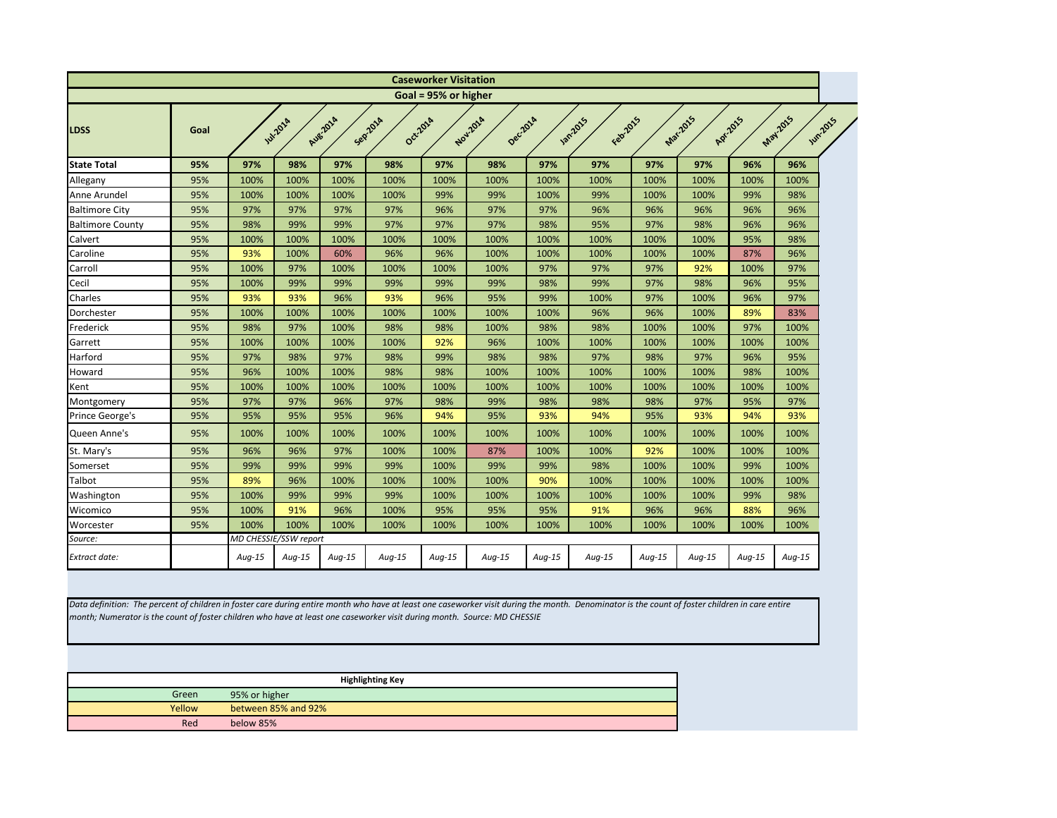<span id="page-7-0"></span>

|                                                                                                                                                                                                                                                                                                                             |        |               |                       |          |                         | <b>Caseworker Visitation</b> |          |          |                          |        |          |           |                             |
|-----------------------------------------------------------------------------------------------------------------------------------------------------------------------------------------------------------------------------------------------------------------------------------------------------------------------------|--------|---------------|-----------------------|----------|-------------------------|------------------------------|----------|----------|--------------------------|--------|----------|-----------|-----------------------------|
|                                                                                                                                                                                                                                                                                                                             |        |               |                       |          |                         | Goal = 95% or higher         |          |          |                          |        |          |           |                             |
| <b>LDSS</b>                                                                                                                                                                                                                                                                                                                 | Goal   |               | <b>141-2018</b>       | Aug.2014 | Sepzoza                 | Oct-2014                     | Nov-2014 | Dec.2014 | Febricis<br><b>12015</b> |        | Mar-2015 | Apr. 2015 | May 2015<br><b>Jun-2015</b> |
| <b>State Total</b>                                                                                                                                                                                                                                                                                                          | 95%    | 97%           | 98%                   | 97%      | 98%                     | 97%                          | 98%      | 97%      | 97%                      | 97%    | 97%      | 96%       | 96%                         |
| Allegany                                                                                                                                                                                                                                                                                                                    | 95%    | 100%          | 100%                  | 100%     | 100%                    | 100%                         | 100%     | 100%     | 100%                     | 100%   | 100%     | 100%      | 100%                        |
| Anne Arundel                                                                                                                                                                                                                                                                                                                | 95%    | 100%          | 100%                  | 100%     | 100%                    | 99%                          | 99%      | 100%     | 99%                      | 100%   | 100%     | 99%       | 98%                         |
| <b>Baltimore City</b>                                                                                                                                                                                                                                                                                                       | 95%    | 97%           | 97%                   | 97%      | 97%                     | 96%                          | 97%      | 97%      | 96%                      | 96%    | 96%      | 96%       | 96%                         |
| <b>Baltimore County</b>                                                                                                                                                                                                                                                                                                     | 95%    | 98%           | 99%                   | 99%      | 97%                     | 97%                          | 97%      | 98%      | 95%                      | 97%    | 98%      | 96%       | 96%                         |
| Calvert                                                                                                                                                                                                                                                                                                                     | 95%    | 100%          | 100%                  | 100%     | 100%                    | 100%                         | 100%     | 100%     | 100%                     | 100%   | 100%     | 95%       | 98%                         |
| Caroline                                                                                                                                                                                                                                                                                                                    | 95%    | 93%           | 100%                  | 60%      | 96%                     | 96%                          | 100%     | 100%     | 100%                     | 100%   | 100%     | 87%       | 96%                         |
| Carroll                                                                                                                                                                                                                                                                                                                     | 95%    | 100%          | 97%                   | 100%     | 100%                    | 100%                         | 100%     | 97%      | 97%                      | 97%    | 92%      | 100%      | 97%                         |
| Cecil                                                                                                                                                                                                                                                                                                                       | 95%    | 100%          | 99%                   | 99%      | 99%                     | 99%                          | 99%      | 98%      | 99%                      | 97%    | 98%      | 96%       | 95%                         |
| Charles                                                                                                                                                                                                                                                                                                                     | 95%    | 93%           | 93%                   | 96%      | 93%                     | 96%                          | 95%      | 99%      | 100%                     | 97%    | 100%     | 96%       | 97%                         |
| Dorchester                                                                                                                                                                                                                                                                                                                  | 95%    | 100%          | 100%                  | 100%     | 100%                    | 100%                         | 100%     | 100%     | 96%                      | 96%    | 100%     | 89%       | 83%                         |
| Frederick                                                                                                                                                                                                                                                                                                                   | 95%    | 98%           | 97%                   | 100%     | 98%                     | 98%                          | 100%     | 98%      | 98%                      | 100%   | 100%     | 97%       | 100%                        |
| Garrett                                                                                                                                                                                                                                                                                                                     | 95%    | 100%          | 100%                  | 100%     | 100%                    | 92%                          | 96%      | 100%     | 100%                     | 100%   | 100%     | 100%      | 100%                        |
| Harford                                                                                                                                                                                                                                                                                                                     | 95%    | 97%           | 98%                   | 97%      | 98%                     | 99%                          | 98%      | 98%      | 97%                      | 98%    | 97%      | 96%       | 95%                         |
| Howard                                                                                                                                                                                                                                                                                                                      | 95%    | 96%           | 100%                  | 100%     | 98%                     | 98%                          | 100%     | 100%     | 100%                     | 100%   | 100%     | 98%       | 100%                        |
| Kent                                                                                                                                                                                                                                                                                                                        | 95%    | 100%          | 100%                  | 100%     | 100%                    | 100%                         | 100%     | 100%     | 100%                     | 100%   | 100%     | 100%      | 100%                        |
| Montgomery                                                                                                                                                                                                                                                                                                                  | 95%    | 97%           | 97%                   | 96%      | 97%                     | 98%                          | 99%      | 98%      | 98%                      | 98%    | 97%      | 95%       | 97%                         |
| Prince George's                                                                                                                                                                                                                                                                                                             | 95%    | 95%           | 95%                   | 95%      | 96%                     | 94%                          | 95%      | 93%      | 94%                      | 95%    | 93%      | 94%       | 93%                         |
| Queen Anne's                                                                                                                                                                                                                                                                                                                | 95%    | 100%          | 100%                  | 100%     | 100%                    | 100%                         | 100%     | 100%     | 100%                     | 100%   | 100%     | 100%      | 100%                        |
| St. Mary's                                                                                                                                                                                                                                                                                                                  | 95%    | 96%           | 96%                   | 97%      | 100%                    | 100%                         | 87%      | 100%     | 100%                     | 92%    | 100%     | 100%      | 100%                        |
| Somerset                                                                                                                                                                                                                                                                                                                    | 95%    | 99%           | 99%                   | 99%      | 99%                     | 100%                         | 99%      | 99%      | 98%                      | 100%   | 100%     | 99%       | 100%                        |
| Talbot                                                                                                                                                                                                                                                                                                                      | 95%    | 89%           | 96%                   | 100%     | 100%                    | 100%                         | 100%     | 90%      | 100%                     | 100%   | 100%     | 100%      | 100%                        |
| Washington                                                                                                                                                                                                                                                                                                                  | 95%    | 100%          | 99%                   | 99%      | 99%                     | 100%                         | 100%     | 100%     | 100%                     | 100%   | 100%     | 99%       | 98%                         |
| Wicomico                                                                                                                                                                                                                                                                                                                    | 95%    | 100%          | 91%                   | 96%      | 100%                    | 95%                          | 95%      | 95%      | 91%                      | 96%    | 96%      | 88%       | 96%                         |
| Worcester                                                                                                                                                                                                                                                                                                                   | 95%    | 100%          | 100%                  | 100%     | 100%                    | 100%                         | 100%     | 100%     | 100%                     | 100%   | 100%     | 100%      | 100%                        |
| Source:                                                                                                                                                                                                                                                                                                                     |        |               | MD CHESSIE/SSW report |          |                         |                              |          |          |                          |        |          |           |                             |
| Extract date:                                                                                                                                                                                                                                                                                                               |        | Aug-15        | Aug-15                | Aug-15   | Aug-15                  | Aug-15                       | Aug-15   | Aug-15   | Aug-15                   | Aug-15 | $Aug-15$ | Aug-15    | $Aug-15$                    |
| Data definition: The percent of children in foster care during entire month who have at least one caseworker visit during the month. Denominator is the count of foster children in care entire<br>month; Numerator is the count of foster children who have at least one caseworker visit during month. Source: MD CHESSIE |        |               |                       |          |                         |                              |          |          |                          |        |          |           |                             |
|                                                                                                                                                                                                                                                                                                                             |        |               |                       |          | <b>Highlighting Key</b> |                              |          |          |                          |        |          |           |                             |
|                                                                                                                                                                                                                                                                                                                             | Green  | 95% or higher |                       |          |                         |                              |          |          |                          |        |          |           |                             |
|                                                                                                                                                                                                                                                                                                                             | Yellow |               | between 85% and 92%   |          |                         |                              |          |          |                          |        |          |           |                             |

Red below 85%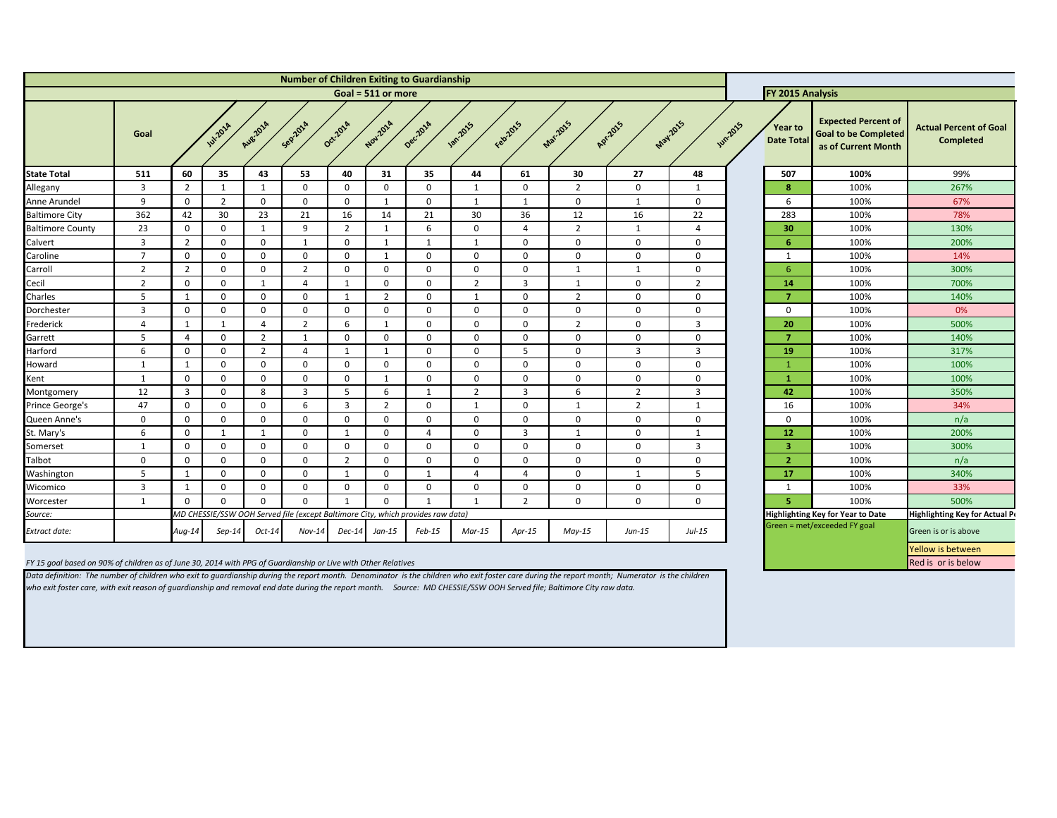Data definition: The number of children who exit to guardianship during the report month. Denominator is the children who exit foster care during the report month; Numerator is the children *who exit foster care, with exit reason of guardianship and removal end date during the report month. Source: MD CHESSIE/SSW OOH Served file; Baltimore City raw data.* 

<span id="page-8-0"></span>

| <b>Number of Children Exiting to Guardianship</b>                                                             |                         |                |                  |                |                                                                                 |                |                         |             |                |              |                |                |                 |                |                              |                                                                                  |                                                   |
|---------------------------------------------------------------------------------------------------------------|-------------------------|----------------|------------------|----------------|---------------------------------------------------------------------------------|----------------|-------------------------|-------------|----------------|--------------|----------------|----------------|-----------------|----------------|------------------------------|----------------------------------------------------------------------------------|---------------------------------------------------|
|                                                                                                               |                         |                |                  |                |                                                                                 |                | Goal = $511$ or more    |             |                |              |                |                |                 |                | <b>FY 2015 Analysis</b>      |                                                                                  |                                                   |
|                                                                                                               | Goal                    |                | <b>141-2014</b>  | Aug 2014       | Sep201A                                                                         | Oct-2014       | Nov.201A                | Decilora    | <b>1</b> 2015  | Februars     | Mar.2015       | Apr.2015       | <b>May 2015</b> | <b>While's</b> | Year to<br><b>Date Total</b> | <b>Expected Percent of</b><br><b>Goal to be Completed</b><br>as of Current Month | <b>Actual Percent of Goal</b><br><b>Completed</b> |
| <b>State Total</b>                                                                                            | 511                     | 60             | 35               | 43             | 53                                                                              | 40             | 31                      | 35          | 44             | 61           | 30             | 27             | 48              |                | 507                          | 100%                                                                             | 99%                                               |
| Allegany                                                                                                      | $\overline{3}$          | $\overline{2}$ |                  |                | $\mathbf 0$                                                                     | $\Omega$       | $\mathbf 0$             | $\mathbf 0$ | 1              | 0            | $\overline{2}$ | $\mathbf 0$    | -1              |                | 8                            | 100%                                                                             | 267%                                              |
| Anne Arundel                                                                                                  | 9                       | $\overline{0}$ | $\overline{2}$   | $\mathbf 0$    | $\mathbf 0$                                                                     | $\Omega$       | 1                       | $\mathbf 0$ | 1              | 1            | $\mathbf{0}$   | 1              | $\mathbf 0$     |                | 6                            | 100%                                                                             | 67%                                               |
| <b>Baltimore City</b>                                                                                         | 362                     | 42             | 30 <sup>°</sup>  | 23             | 21                                                                              | 16             | 14                      | 21          | 30             | 36           | 12             | 16             | 22              |                | 283                          | 100%                                                                             | 78%                                               |
| <b>Baltimore County</b>                                                                                       | 23                      | $\overline{0}$ | $\Omega$         |                | 9                                                                               | 2              | $\overline{\mathbf{1}}$ | 6           | $\Omega$       | 4            | $\overline{2}$ | 1              | 4               |                | 30                           | 100%                                                                             | 130%                                              |
| Calvert                                                                                                       | $\overline{\mathbf{3}}$ | $\overline{2}$ | $\Omega$         | $\mathbf 0$    |                                                                                 | $\Omega$       | - 1                     |             | -1             | $\Omega$     | $\Omega$       | $\mathbf 0$    | $\mathbf 0$     |                | 6                            | 100%                                                                             | 200%                                              |
| Caroline                                                                                                      | $\overline{7}$          | $\mathbf{0}$   | $\Omega$         | $\Omega$       | $\mathbf 0$                                                                     | $\Omega$       |                         | $\Omega$    | $\Omega$       | $\Omega$     | $\Omega$       | $\mathbf 0$    | $\mathbf{0}$    |                |                              | 100%                                                                             | 14%                                               |
| Carroll                                                                                                       | $\overline{2}$          | $\overline{2}$ | $\Omega$         | $\mathbf 0$    | $\overline{2}$                                                                  | $\Omega$       | $\overline{0}$          | $\Omega$    | $\mathbf{0}$   | $\mathbf{0}$ |                | -1             | $\mathbf 0$     |                | 6                            | 100%                                                                             | 300%                                              |
| Cecil                                                                                                         | $\overline{2}$          | $\overline{0}$ | $\Omega$         |                | 4                                                                               | -1             | $\mathbf 0$             | $\mathbf 0$ | $\overline{2}$ | 3            |                | $\mathbf 0$    | $\overline{2}$  |                | 14                           | 100%                                                                             | 700%                                              |
| Charles                                                                                                       | 5                       |                | $\Omega$         | $\mathbf 0$    | $\mathbf 0$                                                                     | -1             | $\overline{2}$          | $\mathbf 0$ | 1              | 0            | $\overline{2}$ | $\mathbf 0$    | $\mathbf 0$     |                | -7                           | 100%                                                                             | 140%                                              |
| Dorchester                                                                                                    | $\overline{3}$          | $\overline{0}$ | $\mathbf 0$      | $\mathbf 0$    | $\mathbf 0$                                                                     | $\Omega$       | $\mathbf 0$             | $\Omega$    | $\mathbf{0}$   | 0            | $\mathbf 0$    | $\mathbf 0$    | $\mathbf{0}$    |                | 0                            | 100%                                                                             | 0%                                                |
| Frederick                                                                                                     | $\overline{4}$          | 1              | $\mathbf 1$      | 4              | $\overline{2}$                                                                  | 6              | -1                      | $\Omega$    | $\mathbf{0}$   | $\mathbf{0}$ | $\overline{2}$ | $\mathbf 0$    | 3               |                | 20                           | 100%                                                                             | 500%                                              |
| Garrett                                                                                                       | -5                      | 4              | $\Omega$         | $\overline{2}$ | -1                                                                              | $\Omega$       | $\overline{0}$          | $\Omega$    | $\mathbf{0}$   | $\mathbf{0}$ | $\Omega$       | $\mathbf 0$    | $\mathbf 0$     |                | 7                            | 100%                                                                             | 140%                                              |
| Harford                                                                                                       | 6                       | $\mathbf{0}$   | $\Omega$         | 2              | 4                                                                               | -1             | $\mathbf 1$             | $\Omega$    | $\mathbf{0}$   | 5            | $\Omega$       | 3              | 3               |                | 19                           | 100%                                                                             | 317%                                              |
| Howard                                                                                                        | -1                      |                | $\Omega$         | $\mathbf 0$    | $\mathbf 0$                                                                     | $\Omega$       | $\mathbf 0$             | $\Omega$    | $\mathbf{0}$   | 0            | $\mathbf{0}$   | $\mathbf 0$    | $\mathbf 0$     |                |                              | 100%                                                                             | 100%                                              |
| Kent                                                                                                          | 1                       | $\mathbf{0}$   | $\boldsymbol{0}$ | $\mathbf 0$    | $\mathbf 0$                                                                     | $\mathbf 0$    | -1                      | $\mathbf 0$ | $\mathbf 0$    | $\mathbf{0}$ | $\mathbf 0$    | $\mathbf 0$    | $\mathbf 0$     |                | -1                           | 100%                                                                             | 100%                                              |
| Montgomery                                                                                                    | 12                      | $\overline{3}$ | $\Omega$         | 8              | $\overline{3}$                                                                  | 5              | 6                       |             | $\overline{2}$ | 3            | 6              | $\overline{2}$ | 3               |                | 42                           | 100%                                                                             | 350%                                              |
| Prince George's                                                                                               | 47                      | $\overline{0}$ | $\mathbf 0$      | $\mathbf 0$    | 6                                                                               | 3              | $\overline{2}$          | $\Omega$    | 1              | $\Omega$     |                | $\overline{2}$ | $\mathbf{1}$    |                | 16                           | 100%                                                                             | 34%                                               |
| Queen Anne's                                                                                                  | $\mathbf 0$             | $\overline{0}$ | $\Omega$         | $\mathbf 0$    | $\overline{0}$                                                                  | $\Omega$       | $\overline{0}$          | $\Omega$    | $\Omega$       | $\mathbf{0}$ | $\Omega$       | $\mathbf 0$    | $\mathbf 0$     |                | $\mathbf{0}$                 | 100%                                                                             | n/a                                               |
| St. Mary's                                                                                                    | -6                      | $\mathbf 0$    | -1               |                | $\overline{0}$                                                                  | -1             | $\overline{0}$          | Δ           | $\Omega$       | 3            |                | $\mathbf 0$    | -1              |                | 12                           | 100%                                                                             | 200%                                              |
| Somerset                                                                                                      | -1                      | $\mathbf{0}$   | $\Omega$         | $\Omega$       | $\mathbf 0$                                                                     | $\Omega$       | $\Omega$                | $\Omega$    | $\Omega$       | 0            | $\Omega$       | $\mathbf 0$    | 3               |                | 3                            | 100%                                                                             | 300%                                              |
| Talbot                                                                                                        | $\mathbf 0$             | $\mathbf 0$    | $\Omega$         | $\Omega$       | $\mathbf 0$                                                                     | $\overline{2}$ | $\mathbf 0$             | $\Omega$    | $\mathbf{0}$   | 0            | $\Omega$       | $\mathbf 0$    | $\Omega$        |                | $\overline{2}$               | 100%                                                                             | n/a                                               |
| Washington                                                                                                    | 5                       |                | $\mathbf 0$      | $\mathbf 0$    | $\mathbf 0$                                                                     | -1             | $\mathbf 0$             |             | 4              | 4            | $\mathbf 0$    | 1              | 5               |                | 17                           | 100%                                                                             | 340%                                              |
| Wicomico                                                                                                      | $\overline{\mathbf{3}}$ |                | $\mathbf 0$      | $\mathbf 0$    | $\boldsymbol{0}$                                                                | 0              | $\boldsymbol{0}$        | $\mathbf 0$ | $\mathbf 0$    | 0            | $\mathbf 0$    | $\mathbf 0$    | $\mathbf 0$     |                |                              | 100%                                                                             | 33%                                               |
| Worcester                                                                                                     | $\mathbf{1}$            | $\mathbf 0$    | $\Omega$         | $\mathbf 0$    | $\mathbf 0$                                                                     | -1             | $\mathbf 0$             |             | 1              | $2^{\circ}$  | $\mathbf 0$    | $\mathbf 0$    | $\mathbf 0$     |                | 5                            | 100%                                                                             | 500%                                              |
| Source:                                                                                                       |                         |                |                  |                | MD CHESSIE/SSW OOH Served file (except Baltimore City, which provides raw data) |                |                         |             |                |              |                |                |                 |                |                              | <b>Highlighting Key for Year to Date</b>                                         | Highlighting Key for Actual Po                    |
| Extract date:                                                                                                 |                         | $Aug-14$       | $Sep-14$         | $Oct-14$       | $Nov-14$                                                                        | $Dec-14$       | $Jan-15$                | $Feb-15$    | $Mar-15$       | Apr-15       | $May-15$       | $Jun-15$       | $Jul-15$        |                |                              | Green = met/exceeded FY goal                                                     | Green is or is above                              |
|                                                                                                               |                         |                |                  |                |                                                                                 |                |                         |             |                |              |                |                |                 |                |                              |                                                                                  | Yellow is between                                 |
| FY 15 goal based on 90% of children as of June 30, 2014 with PPG of Guardianship or Live with Other Relatives |                         |                |                  |                |                                                                                 |                |                         |             |                |              |                |                |                 |                |                              |                                                                                  | Red is or is below                                |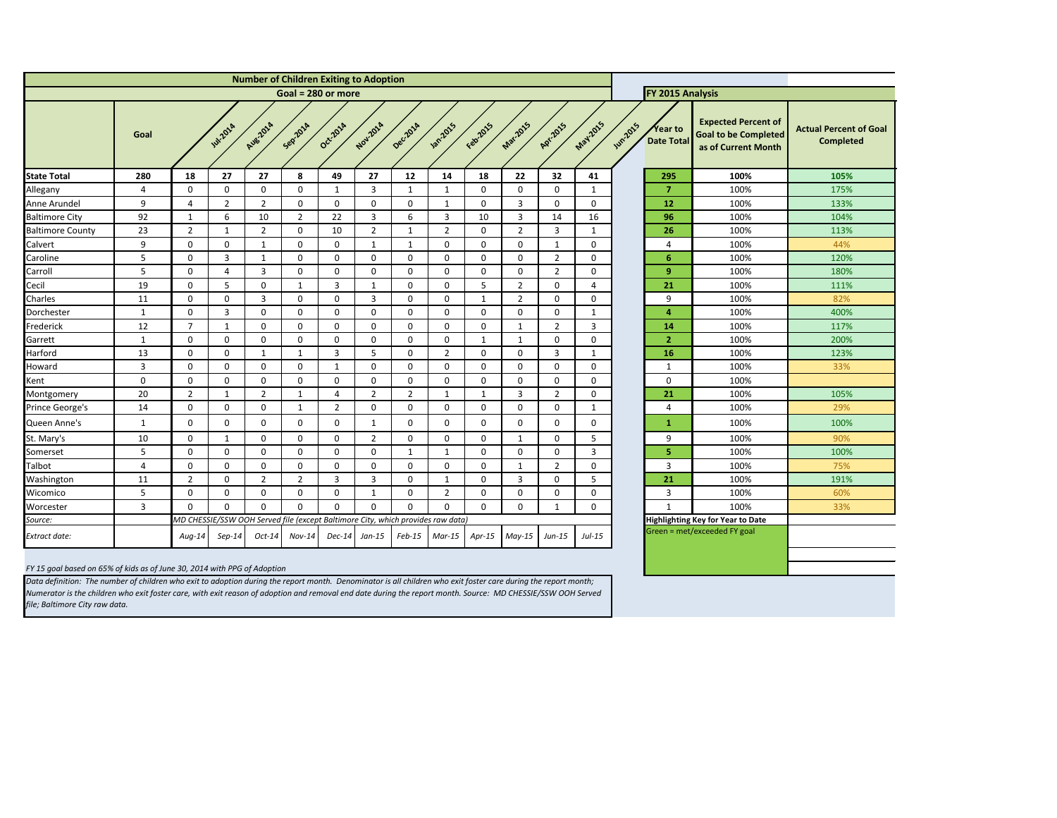<span id="page-9-0"></span>

| <b>Number of Children Exiting to Adoption</b> |                      |                |                |                |                |                                                                                 |                 |                |                |              |                                     |                |                 |               |                              |                                                                                  |                                                   |  |
|-----------------------------------------------|----------------------|----------------|----------------|----------------|----------------|---------------------------------------------------------------------------------|-----------------|----------------|----------------|--------------|-------------------------------------|----------------|-----------------|---------------|------------------------------|----------------------------------------------------------------------------------|---------------------------------------------------|--|
|                                               | Goal = $280$ or more |                |                |                |                |                                                                                 |                 |                |                |              |                                     |                |                 |               | FY 2015 Analysis             |                                                                                  |                                                   |  |
|                                               | Goal                 |                | <b>W.2014</b>  | Aug-2014       | Sepzoza        | Oct-2014                                                                        | Nov-2014        | Decilora       | <b>1</b> 2015  | Febr2015     | Mar-2015                            | Apr.2015       | <b>May 2015</b> | <b>Wm2015</b> | Year to<br><b>Date Total</b> | <b>Expected Percent of</b><br><b>Goal to be Completed</b><br>as of Current Month | <b>Actual Percent of Goal</b><br><b>Completed</b> |  |
| <b>State Total</b>                            | 280                  | 18             | 27             | 27             | 8              | 49                                                                              | 27              | 12             | 14             | 18           | 22                                  | 32             | 41              |               | 295                          | 100%                                                                             | 105%                                              |  |
| Allegany                                      | 4                    | 0              | $\mathbf 0$    | $\mathbf 0$    | 0              | -1                                                                              | 3               | $\mathbf{1}$   | 1              | $\mathbf 0$  | $\mathbf 0$                         | $\mathbf 0$    | $\mathbf{1}$    |               | 7                            | 100%                                                                             | 175%                                              |  |
| Anne Arundel                                  | 9                    | $\overline{4}$ | $\overline{2}$ | $\overline{2}$ | $\mathbf 0$    | $\mathbf 0$                                                                     | $\mathbf{0}$    | $\mathbf 0$    | $\mathbf{1}$   | $\mathbf 0$  | $\overline{3}$                      | $\mathbf 0$    | $\mathbf 0$     |               | 12                           | 100%                                                                             | 133%                                              |  |
| <b>Baltimore City</b>                         | 92                   | $\mathbf{1}$   | 6              | 10             | $\overline{2}$ | 22                                                                              | 3               | 6              | $\overline{3}$ | 10           | 3                                   | 14             | 16              |               | 96                           | 100%                                                                             | 104%                                              |  |
| <b>Baltimore County</b>                       | 23                   | $\overline{2}$ | $\mathbf{1}$   | $\overline{2}$ | 0              | 10                                                                              | $\overline{2}$  | $\mathbf 1$    | $\overline{2}$ | $\mathbf 0$  | $\overline{2}$                      | 3              | $\mathbf{1}$    |               | 26                           | 100%                                                                             | 113%                                              |  |
| Calvert                                       | 9                    | $\mathbf 0$    | $\mathbf 0$    | $\mathbf{1}$   | $\mathbf 0$    | $\mathbf 0$                                                                     | 1               | $\mathbf{1}$   | $\mathbf 0$    | $\mathbf 0$  | $\mathbf 0$                         | 1              | $\mathbf 0$     |               | 4                            | 100%                                                                             | 44%                                               |  |
| Caroline                                      | 5                    | $\mathbf 0$    | 3              | $\mathbf{1}$   | 0              | $\mathbf 0$                                                                     | 0               | 0              | $\mathbf 0$    | 0            | $\mathbf 0$                         | $\overline{2}$ | $\mathbf 0$     |               | 6                            | 100%                                                                             | 120%                                              |  |
| Carroll                                       | 5                    | $\mathbf 0$    | 4              | $\overline{3}$ | 0              | $\mathbf 0$                                                                     | $\mathbf{0}$    | 0              | $\mathbf 0$    | 0            | $\mathbf 0$                         | $\overline{2}$ | $\mathbf 0$     |               | 9 <sup>°</sup>               | 100%                                                                             | 180%                                              |  |
| Cecil                                         | 19                   | $\mathbf 0$    | 5              | $\mathbf 0$    | 1              | $\overline{3}$                                                                  | $\mathbf 1$     | 0              | $\mathbf 0$    | 5            | $\overline{2}$                      | $\mathbf 0$    | 4               |               | 21                           | 100%                                                                             | 111%                                              |  |
| Charles                                       | 11                   | $\mathbf 0$    | $\mathbf 0$    | $\overline{3}$ | $\mathbf 0$    | 0                                                                               | 3               | $\mathbf 0$    | $\mathbf 0$    | $\mathbf{1}$ | $\overline{2}$                      | $\mathbf 0$    | $\Omega$        |               | 9                            | 100%                                                                             | 82%                                               |  |
| Dorchester                                    | 1                    | $\mathbf 0$    | 3              | $\mathbf 0$    | 0              | 0                                                                               | $\mathbf{0}$    | 0              | $\mathbf 0$    | 0            | $\boldsymbol{0}$                    | $\mathbf 0$    | -1              |               | $\overline{4}$               | 100%                                                                             | 400%                                              |  |
| Frederick                                     | 12                   | $\overline{7}$ | $\mathbf{1}$   | $\mathbf 0$    | 0              | $\boldsymbol{0}$                                                                | $\mathbf{0}$    | $\mathbf 0$    | $\mathbf 0$    | 0            | $\mathbf 1$                         | $\overline{2}$ | 3               |               | 14                           | 100%                                                                             | 117%                                              |  |
| Garrett                                       | $\mathbf{1}$         | $\mathbf 0$    | $\mathbf 0$    | $\mathbf 0$    | $\mathbf 0$    | $\mathbf 0$                                                                     | $\mathbf 0$     | 0              | $\mathbf 0$    | 1            | $\mathbf{1}$                        | $\mathbf 0$    | $\mathbf 0$     |               | $\overline{2}$               | 100%                                                                             | 200%                                              |  |
| Harford                                       | 13                   | $\mathbf 0$    | 0              | $\mathbf{1}$   | 1              | $\overline{3}$                                                                  | 5               | 0              | $\overline{2}$ | $\mathbf 0$  | $\mathbf 0$                         | 3              | $\mathbf{1}$    |               | 16                           | 100%                                                                             | 123%                                              |  |
| Howard                                        | 3                    | $\mathbf 0$    | 0              | $\mathbf 0$    | 0              | $\mathbf{1}$                                                                    | $\Omega$        | $\mathbf{0}$   | $\mathbf 0$    | $\mathbf{0}$ | $\mathbf 0$                         | $\mathbf 0$    | $\mathbf 0$     |               | $\mathbf{1}$                 | 100%                                                                             | 33%                                               |  |
| Kent                                          | $\mathbf 0$          | $\mathbf 0$    | $\mathbf 0$    | $\mathbf 0$    | 0              | $\mathbf 0$                                                                     | $\Omega$        | 0              | $\mathbf 0$    | $\mathbf 0$  | $\mathbf 0$                         | $\mathbf 0$    | $\mathbf 0$     |               | $\mathbf 0$                  | 100%                                                                             |                                                   |  |
| Montgomery                                    | 20                   | $\overline{2}$ | 1              | $\overline{2}$ | -1             | $\boldsymbol{\Lambda}$                                                          | 2               | $\overline{2}$ | $\mathbf{1}$   | $\mathbf{1}$ | 3                                   | $\overline{2}$ | $\mathbf{0}$    |               | 21                           | 100%                                                                             | 105%                                              |  |
| Prince George's                               | 14                   | $\mathbf 0$    | 0              | $\mathbf 0$    | 1              | $\overline{2}$                                                                  | 0               | 0              | $\mathbf 0$    | 0            | $\mathbf 0$                         | 0              | 1               |               | 4                            | 100%                                                                             | 29%                                               |  |
| Queen Anne's                                  | 1                    | $\mathbf 0$    | 0              | $\mathbf 0$    | 0              | 0                                                                               | 1               | 0              | $\mathbf 0$    | 0            | $\mathbf 0$                         | $\mathbf 0$    | $\mathbf 0$     |               | $\mathbf 1$                  | 100%                                                                             | 100%                                              |  |
| St. Mary's                                    | 10                   | $\mathbf 0$    | $\mathbf{1}$   | $\mathbf 0$    | 0              | 0                                                                               | $\overline{2}$  | 0              | $\mathbf 0$    | 0            | 1                                   | 0              | 5               |               | 9                            | 100%                                                                             | 90%                                               |  |
| Somerset                                      | 5                    | $\mathbf 0$    | 0              | $\mathbf 0$    | 0              | 0                                                                               | $\mathbf{0}$    | 1              | $\mathbf{1}$   | 0            | $\mathbf 0$                         | $\Omega$       | 3               |               | 5                            | 100%                                                                             | 100%                                              |  |
| Talbot                                        | 4                    | $\Omega$       | $\Omega$       | $\Omega$       | $\Omega$       | $\Omega$                                                                        | $\Omega$        | $\Omega$       | $\Omega$       | $\Omega$     |                                     | ີ              | $\Omega$        |               | $\mathbf{z}$                 | 100%                                                                             | 75%                                               |  |
| Washington                                    | 11                   | $\overline{2}$ | $\mathbf 0$    | $\overline{2}$ | $\overline{2}$ | 3                                                                               | $\mathbf{3}$    | $\mathbf{0}$   | $\mathbf{1}$   | $\mathbf 0$  | $\mathbf{3}$                        | $\mathbf 0$    | 5 <sup>1</sup>  |               | 21                           | 100%                                                                             | 191%                                              |  |
| Wicomico                                      | 5                    | $\mathbf 0$    | $\mathbf 0$    | $\mathbf 0$    | 0              | $\mathbf 0$                                                                     | 1               | $\mathbf 0$    | $2^{\circ}$    | $\mathbf 0$  | $\mathbf 0$                         | 0              | $\mathbf 0$     |               | $\overline{3}$               | 100%                                                                             | 60%                                               |  |
| Worcester                                     | $\mathbf{3}$         | $\mathbf 0$    | 0              | $\mathbf 0$    | 0              | $\mathbf 0$                                                                     | $\mathbf 0$     | 0              | $\mathbf 0$    | $\mathbf 0$  | $\mathbf 0$                         | 1              | $\mathbf 0$     |               | $\mathbf{1}$                 | 100%                                                                             | 33%                                               |  |
| Source:                                       |                      |                |                |                |                | MD CHESSIE/SSW OOH Served file (except Baltimore City, which provides raw data) |                 |                |                |              |                                     |                |                 |               |                              | Highlighting Key for Year to Date                                                |                                                   |  |
| Extract date:                                 |                      | $Aug-14$       | $Sep-14$       | $Oct-14$       | $Nov-14$       |                                                                                 | $Dec-14$ Jan-15 |                |                |              | $Feb-15$   Mar-15   Apr-15   May-15 | $Jun-15$       | $Jul-15$        |               |                              | Green = met/exceeded FY goal                                                     |                                                   |  |

*FY 15 goal based on 65% of kids as of June 30, 2014 with PPG of Adoption*

*Data definition: The number of children who exit to adoption during the report month. Denominator is all children who exit foster care during the report month; Numerator is the children who exit foster care, with exit reason of adoption and removal end date during the report month. Source: MD CHESSIE/SSW OOH Served file; Baltimore City raw data.*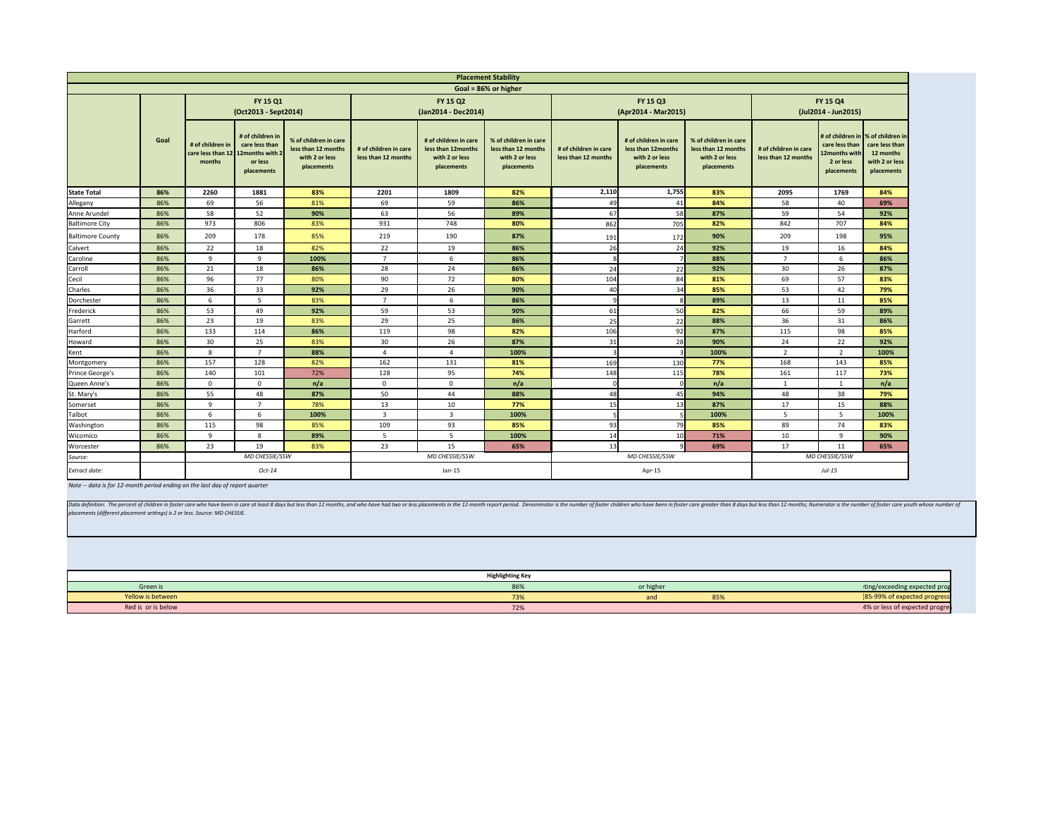Data definition: The percent of children in foster care who have been in care at least 8 days but less than 12 months, and who have had two or less placements in the 12-month report period. Denominator is the number of fos *placements (different placement settings) is 2 or less. Source: MD CHESSIE.*

<span id="page-10-0"></span>

|                                       | <b>Placement Stability</b> |                                                                    |                                                             |                                                                              |                                              |                                                                             |                                                                              |                                              |                                                                              |                                                                              |                                              |                                          |                                                                                                                          |
|---------------------------------------|----------------------------|--------------------------------------------------------------------|-------------------------------------------------------------|------------------------------------------------------------------------------|----------------------------------------------|-----------------------------------------------------------------------------|------------------------------------------------------------------------------|----------------------------------------------|------------------------------------------------------------------------------|------------------------------------------------------------------------------|----------------------------------------------|------------------------------------------|--------------------------------------------------------------------------------------------------------------------------|
|                                       |                            |                                                                    |                                                             |                                                                              |                                              |                                                                             | Goal = 86% or higher                                                         |                                              |                                                                              |                                                                              |                                              |                                          |                                                                                                                          |
|                                       |                            |                                                                    | FY 15 Q1<br>(Oct2013 - Sept2014)                            |                                                                              |                                              | FY 15 Q2<br>(Jan2014 - Dec2014)                                             |                                                                              |                                              | FY 15 Q3<br>(Apr2014 - Mar2015)                                              | FY 15 Q4<br>(Jul2014 - Jun2015)                                              |                                              |                                          |                                                                                                                          |
|                                       | Goal                       | # of children in<br>care less than 12   12 months with 2<br>months | # of children in<br>care less than<br>or less<br>placements | % of children in care<br>less than 12 months<br>with 2 or less<br>placements | # of children in care<br>less than 12 months | # of children in care<br>less than 12months<br>with 2 or less<br>placements | % of children in care<br>less than 12 months<br>with 2 or less<br>placements | # of children in care<br>less than 12 months | # of children in care<br>less than 12 months<br>with 2 or less<br>placements | % of children in care<br>less than 12 months<br>with 2 or less<br>placements | # of children in care<br>less than 12 months | 12months with<br>2 or less<br>placements | # of children in  % of children in<br>care less than $\vert$ care less than<br>12 months<br>with 2 or less<br>placements |
| <b>State Total</b>                    | 86%                        | 2260                                                               | 1881                                                        | 83%                                                                          | 2201                                         | 1809                                                                        | 82%                                                                          | 2,110                                        | 1,755                                                                        | 83%                                                                          | 2095                                         | 1769                                     | 84%                                                                                                                      |
| Allegany                              | 86%                        | 69                                                                 | 56                                                          | 81%                                                                          | 69                                           | 59                                                                          | 86%                                                                          | 49                                           | 41                                                                           | 84%                                                                          | 58                                           | 40                                       | 69%                                                                                                                      |
| Anne Arundel                          | 86%                        | 58                                                                 | 52                                                          | 90%                                                                          | 63                                           | 56                                                                          | 89%                                                                          | 67                                           | 58                                                                           | 87%                                                                          | 59                                           | 54                                       | 92%                                                                                                                      |
| <b>Baltimore City</b>                 | 86%                        | 973                                                                | 806                                                         | 83%                                                                          | 931                                          | 748                                                                         | 80%                                                                          | 862                                          | 705                                                                          | 82%                                                                          | 842                                          | 707                                      | 84%                                                                                                                      |
| <b>Baltimore County</b>               | 86%                        | 209                                                                | 178                                                         | 85%                                                                          | 219                                          | 190                                                                         | 87%                                                                          | 191                                          | 172                                                                          | 90%                                                                          | 209                                          | 198                                      | 95%                                                                                                                      |
| Calvert                               | 86%                        | 22                                                                 | 18                                                          | 82%                                                                          | 22                                           | 19                                                                          | 86%                                                                          | 26                                           | 24                                                                           | 92%                                                                          | 19                                           | 16                                       | 84%                                                                                                                      |
| Caroline                              | 86%                        | 9                                                                  | 9                                                           | 100%                                                                         | $\overline{7}$                               | 6                                                                           | 86%                                                                          |                                              |                                                                              | 88%                                                                          | $\overline{7}$                               | 6                                        | 86%                                                                                                                      |
| Carroll                               | 86%                        | 21                                                                 | 18                                                          | 86%                                                                          | 28                                           | 24                                                                          | 86%                                                                          | 24                                           | 22                                                                           | 92%                                                                          | 30                                           | 26                                       | 87%                                                                                                                      |
| Cecil<br>Charles                      | 86%                        | 96                                                                 | 77                                                          | 80%                                                                          | 90                                           | 72                                                                          | 80%                                                                          | 104                                          | 84                                                                           | 81%                                                                          | 69                                           | 57                                       | 83%                                                                                                                      |
|                                       | 86%                        | 36                                                                 | 33                                                          | 92%                                                                          | 29                                           | 26                                                                          | 90%                                                                          | 40                                           | 34                                                                           | 85%                                                                          | 53                                           | 42                                       | 79%                                                                                                                      |
| Dorchester                            | 86%                        | 6                                                                  | 5 <sup>5</sup>                                              | 83%                                                                          | $\overline{7}$                               | 6                                                                           | 86%                                                                          |                                              |                                                                              | 89%                                                                          | 13                                           | 11                                       | 85%                                                                                                                      |
| Frederick                             | 86%                        | 53                                                                 | 49                                                          | 92%                                                                          | 59                                           | 53                                                                          | 90%                                                                          | 61                                           | 50                                                                           | 82%                                                                          | 66                                           | 59                                       | 89%                                                                                                                      |
| Garrett                               | 86%                        | 23                                                                 | 19                                                          | 83%                                                                          | 29                                           | 25                                                                          | 86%                                                                          | 25                                           | 22                                                                           | 88%                                                                          | 36                                           | 31                                       | 86%                                                                                                                      |
| Harford                               | 86%                        | 133                                                                | 114                                                         | 86%                                                                          | 119                                          | 98                                                                          | 82%                                                                          | 106                                          | 92                                                                           | 87%                                                                          | 115                                          | 98                                       | 85%                                                                                                                      |
| Howard                                | 86%                        | 30                                                                 | 25                                                          | 83%                                                                          | 30 <sup>°</sup>                              | 26                                                                          | 87%                                                                          | 31                                           | 28                                                                           | 90%                                                                          | 24                                           | 22                                       | 92%                                                                                                                      |
|                                       | 86%                        | 8                                                                  |                                                             | 88%                                                                          | 4                                            | $\overline{4}$                                                              | 100%                                                                         |                                              |                                                                              | 100%                                                                         | $\overline{2}$                               | $\overline{2}$                           | 100%                                                                                                                     |
| Kent<br>Montgomery<br>Prince George's | 86%                        | 157                                                                | 128                                                         | 82%                                                                          | 162                                          | 131                                                                         | 81%                                                                          | 169                                          | 130                                                                          | 77%                                                                          | 168                                          | 143                                      | 85%                                                                                                                      |
|                                       | 86%                        | 140                                                                | 101                                                         | 72%                                                                          | 128                                          | 95                                                                          | 74%                                                                          | 148                                          | 115                                                                          | 78%                                                                          | 161                                          | 117                                      | 73%                                                                                                                      |
| Queen Anne's                          | 86%                        | $\mathbf 0$                                                        | $\mathbf{0}$                                                | n/a                                                                          | $\overline{0}$                               | $\overline{0}$                                                              | n/a                                                                          |                                              |                                                                              | n/a                                                                          |                                              |                                          | n/a                                                                                                                      |
| St. Mary's                            | 86%                        | 55                                                                 | 48                                                          | 87%                                                                          | 50                                           | 44                                                                          | 88%                                                                          | 48                                           | 45                                                                           | 94%                                                                          | 48                                           | 38                                       | 79%                                                                                                                      |
| Somerset                              | 86%                        | 9                                                                  | $\overline{7}$                                              | 78%                                                                          | 13                                           | $10\,$                                                                      | 77%                                                                          | 15                                           | 13                                                                           | 87%                                                                          | 17                                           | 15                                       | 88%                                                                                                                      |
| Talbot<br>Washington                  | 86%                        | 6                                                                  | 6                                                           | 100%                                                                         | $\overline{3}$                               | 3                                                                           | 100%                                                                         |                                              |                                                                              | 100%                                                                         | 5                                            | 5 <sub>1</sub>                           | 100%                                                                                                                     |
|                                       | 86%                        | 115                                                                | 98                                                          | 85%                                                                          | 109                                          | 93                                                                          | 85%                                                                          | 93                                           | 79                                                                           | 85%                                                                          | 89                                           | 74                                       | 83%                                                                                                                      |
| Wicomico                              | 86%                        | 9                                                                  | 8                                                           | 89%                                                                          | 5 <sub>1</sub>                               | 5 <sub>1</sub>                                                              | 100%                                                                         | 14                                           | 10                                                                           | 71%                                                                          | 10                                           | 9                                        | 90%                                                                                                                      |
| Worcester                             | 86%                        | 23                                                                 | 19                                                          | 83%                                                                          | 23                                           | 15                                                                          | 65%                                                                          | 13                                           |                                                                              | 69%                                                                          | 17                                           | 11                                       | 65%                                                                                                                      |
| Source:                               |                            |                                                                    | MD CHESSIE/SSW                                              |                                                                              |                                              | MD CHESSIE/SSW                                                              |                                                                              |                                              | MD CHESSIE/SSW                                                               | MD CHESSIE/SSW                                                               |                                              |                                          |                                                                                                                          |
| Extract date:                         |                            |                                                                    | $Oct-14$                                                    |                                                                              |                                              | $Jan-15$                                                                    |                                                                              |                                              | Apr-15                                                                       |                                                                              |                                              | $Jul-15$                                 |                                                                                                                          |

*Note -- data is for 12-month period ending on the last day of report quarter*

| ing Key |           |     |                                |
|---------|-----------|-----|--------------------------------|
| 86%     | or higher |     | ting/exceeding expected prog   |
| 73%     | and       | 85% | (85-99% of expected progress   |
| 72%     |           |     | 4% or less of expected progres |

|                    | <b>Highlighting Key</b>         |           |     |                                |
|--------------------|---------------------------------|-----------|-----|--------------------------------|
| Green is           | 86%                             | or higher |     | ting/exceeding expected prog   |
| Yellow is between  | 73%                             | and       | 85% | (85-99% of expected progress   |
| Red is or is below | $\overline{\phantom{a}}$<br>12% |           |     | 4% or less of expected progre. |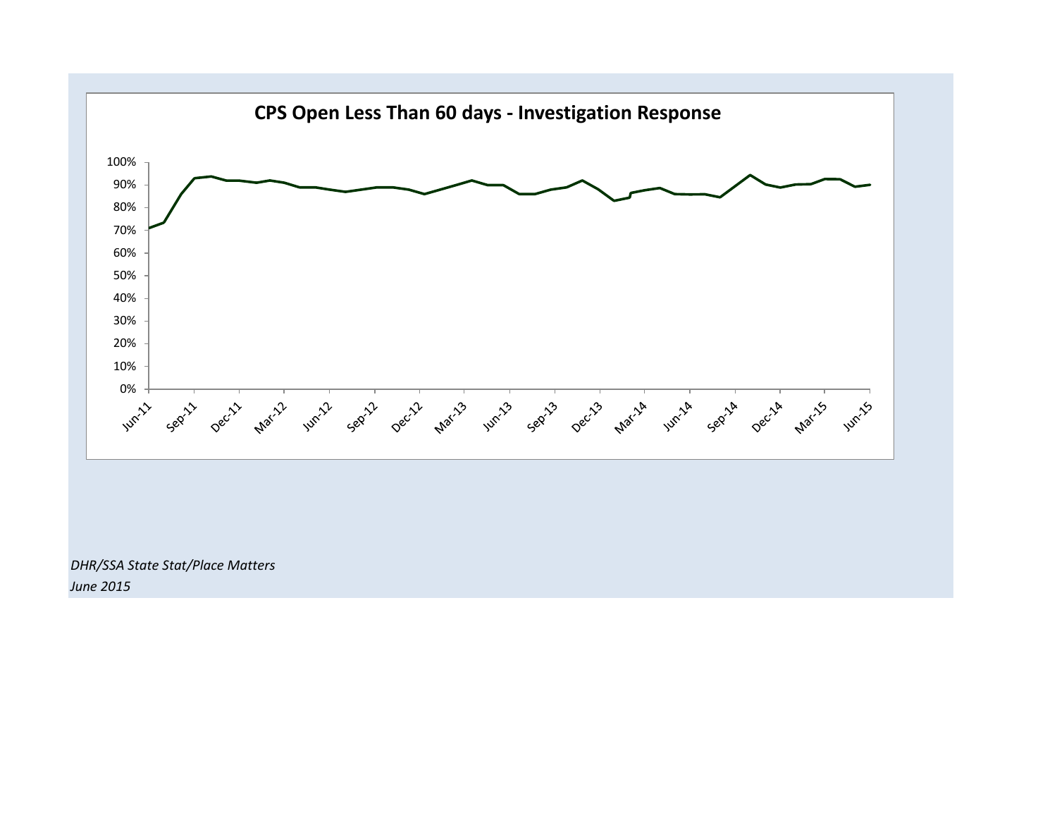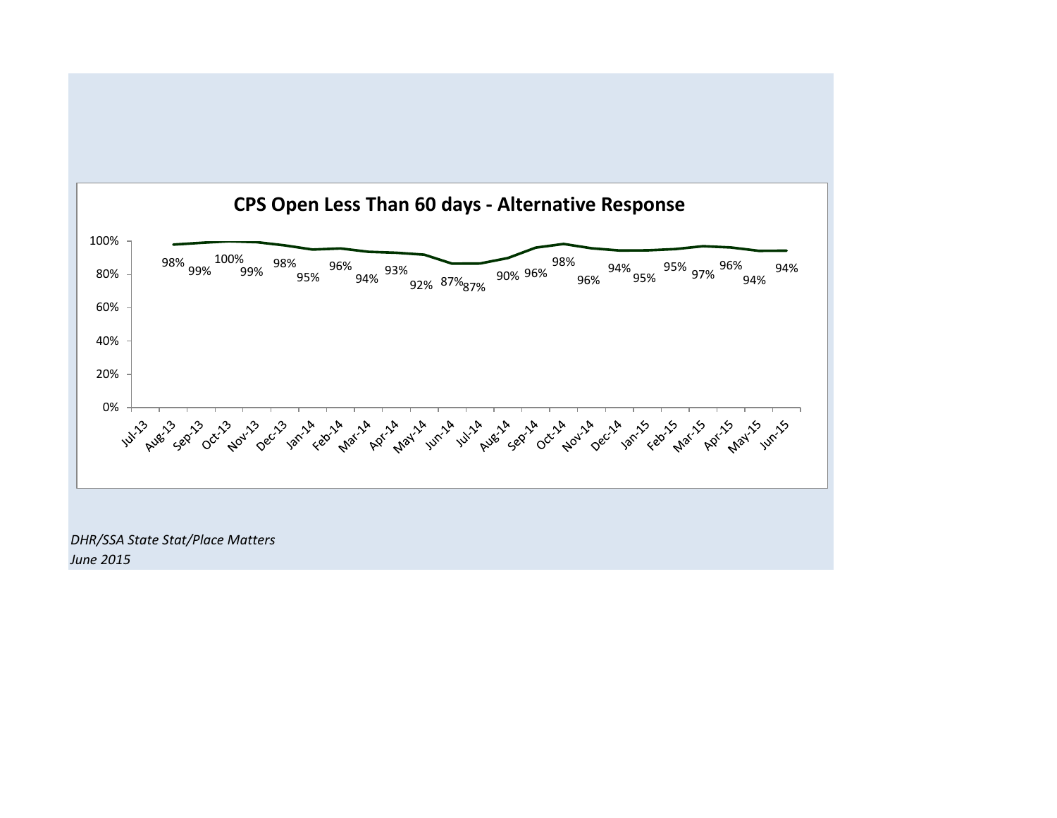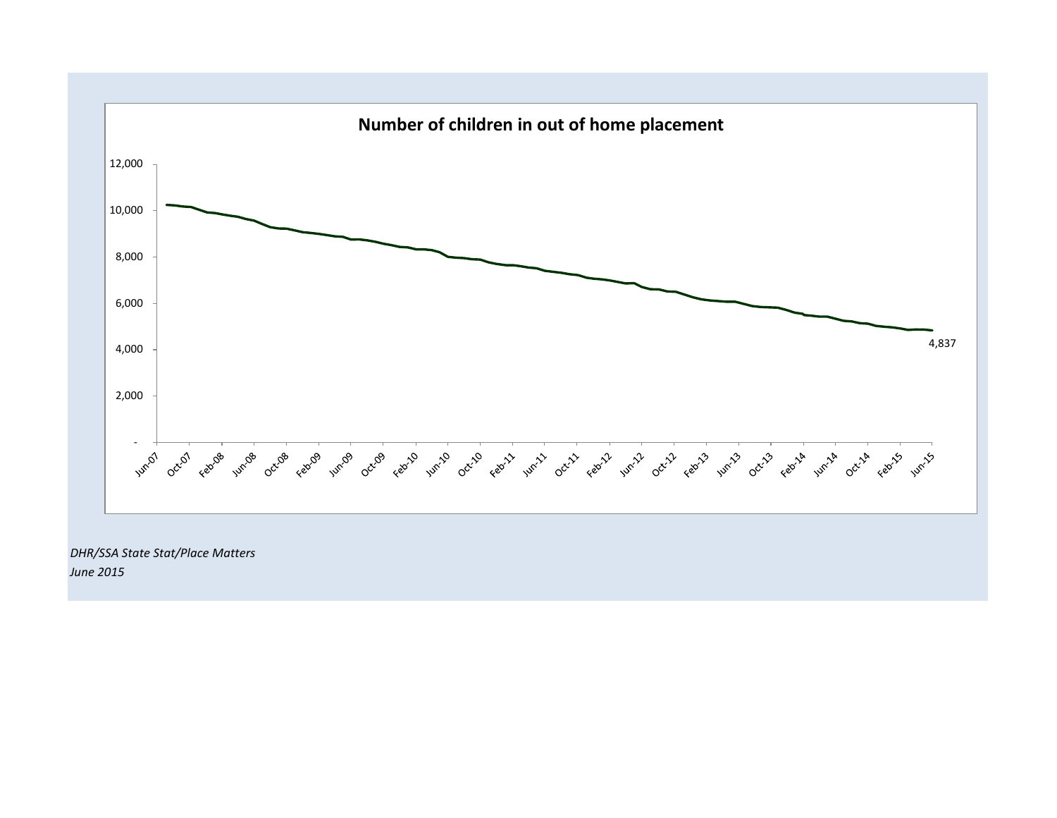

*DHR/SSA State Stat/Place Matters June 2015*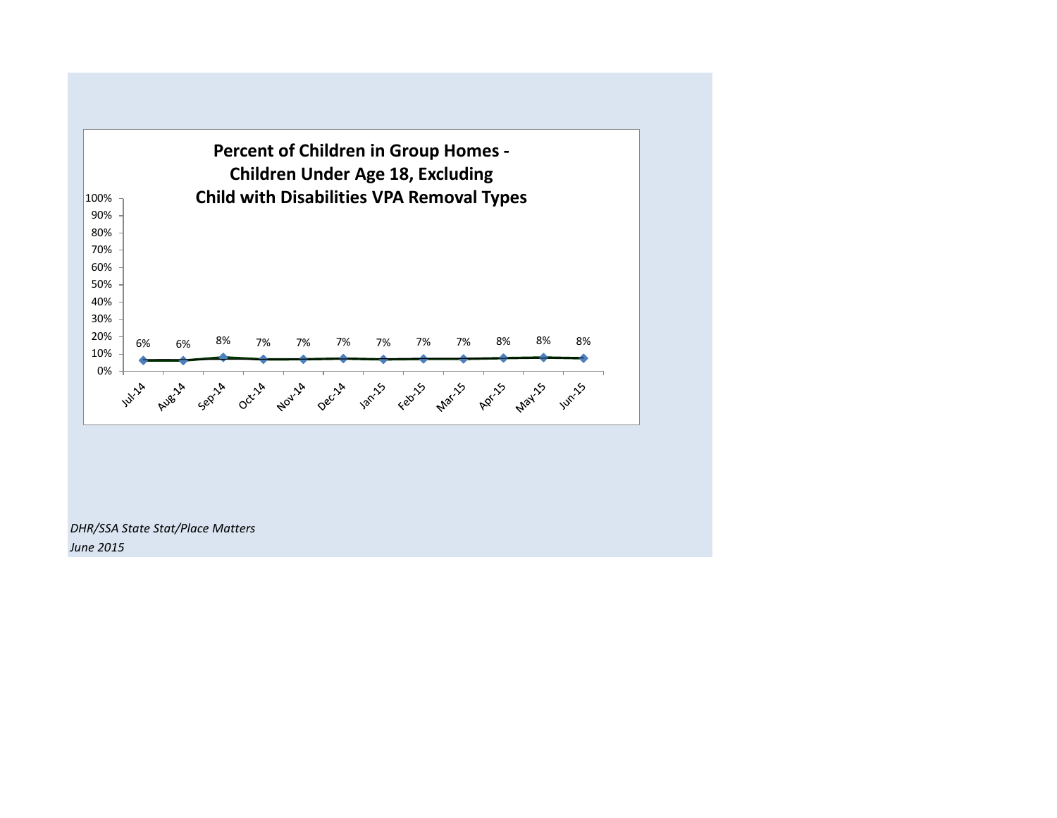

*June 2015*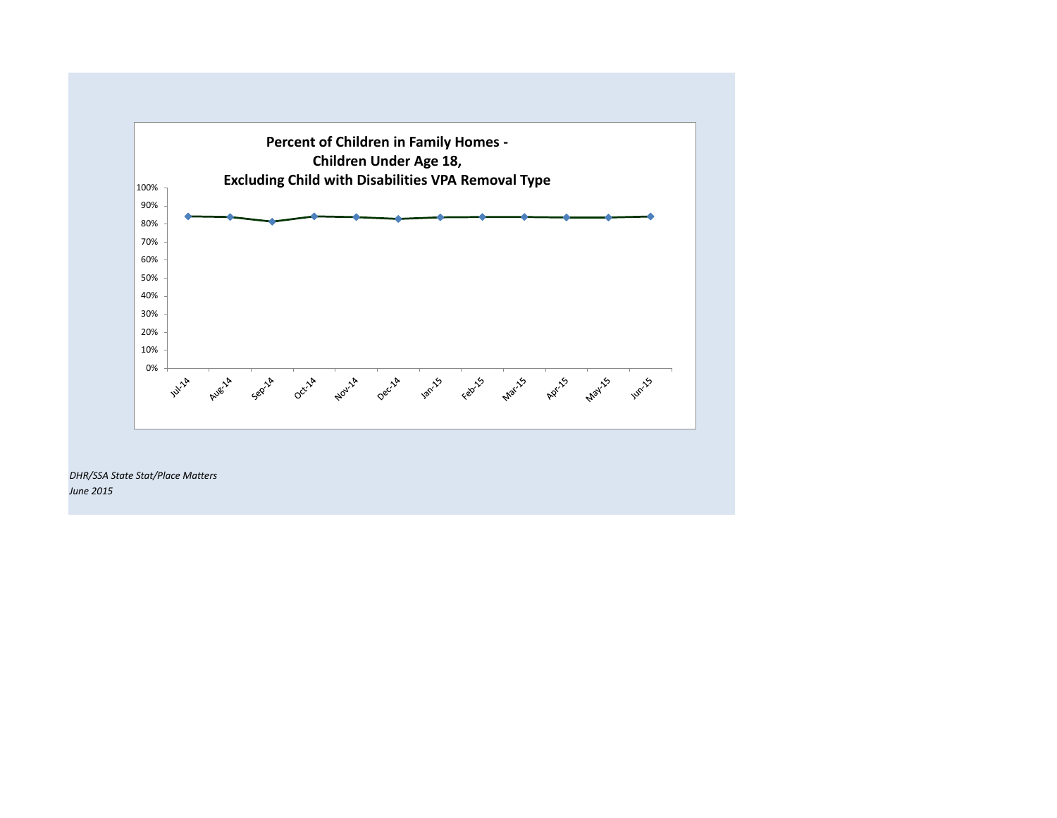

*DHR/SSA State Stat/Place Matters June 2015*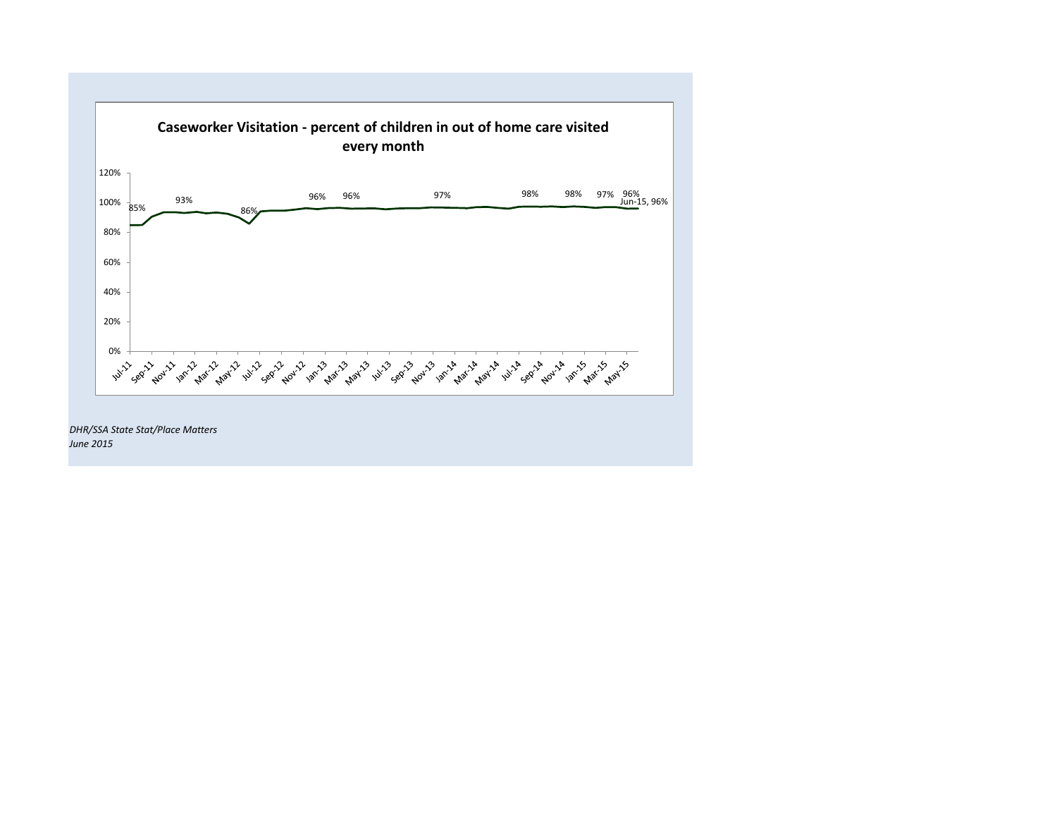

*June 2015*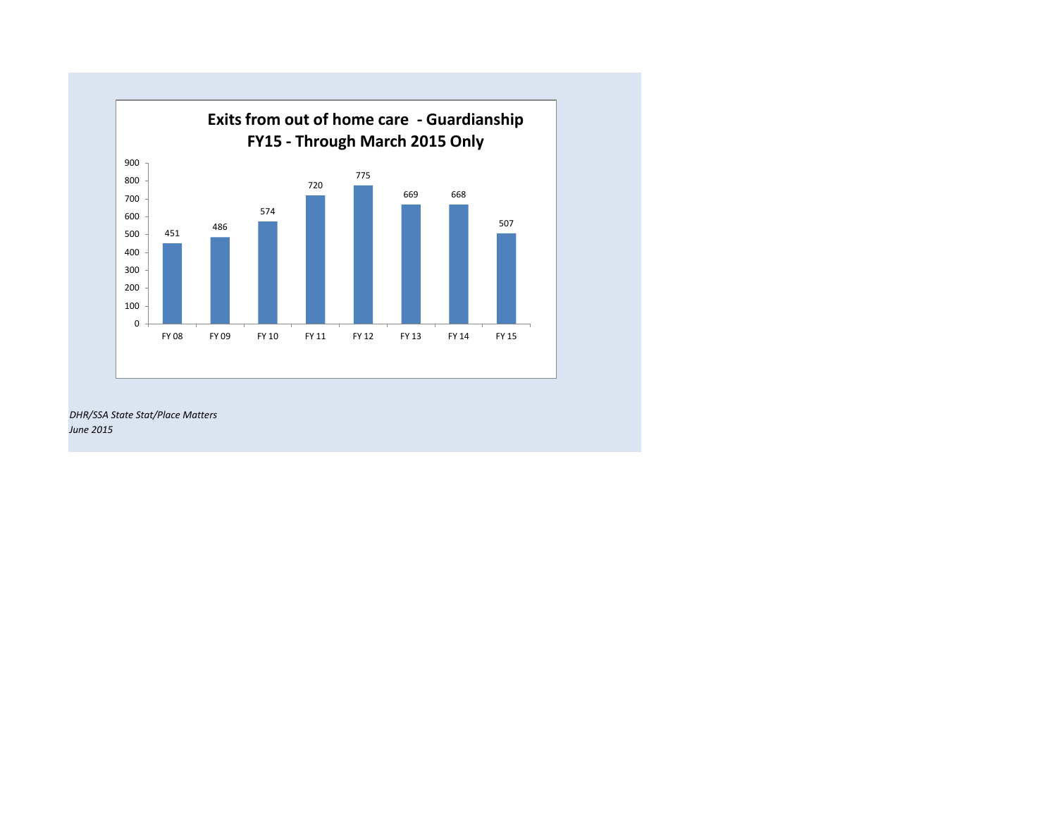

*DHR/SSA State Stat/Place Matters June 2015*